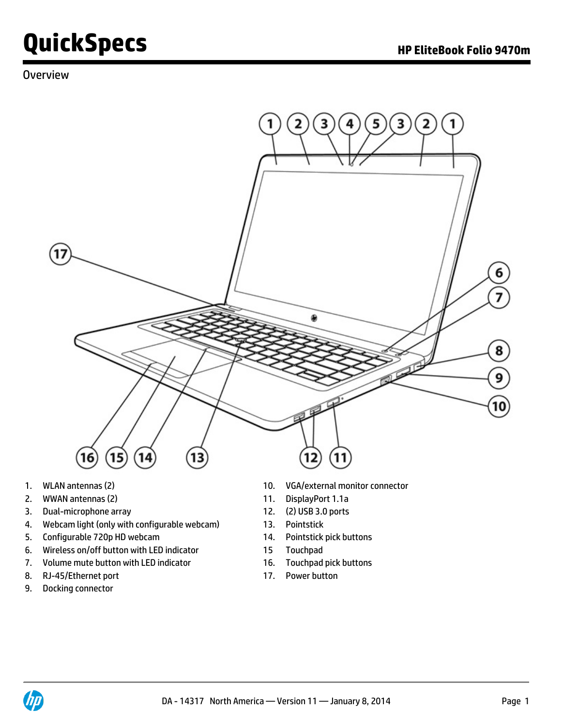### **Overview**



- 
- 2. WWAN antennas (2) 11. DisplayPort 1.1a
- 3. Dual-microphone array 12. (2) USB 3.0 ports
- 4. Webcam light (only with configurable webcam) 13. Pointstick
- 5. Configurable 720p HD webcam 14. Pointstick pick buttons
- 6. Wireless on/off button with LED indicator 15 Touchpad
- 7. Volume mute button with LED indicator 16. Touchpad pick buttons
- 8. RJ-45/Ethernet port 17. Power button
- 9. Docking connector
- 1. WLAN antennas (2) 10. VGA/external monitor connector
	-
	-
	-
	-
	-
	-
	-

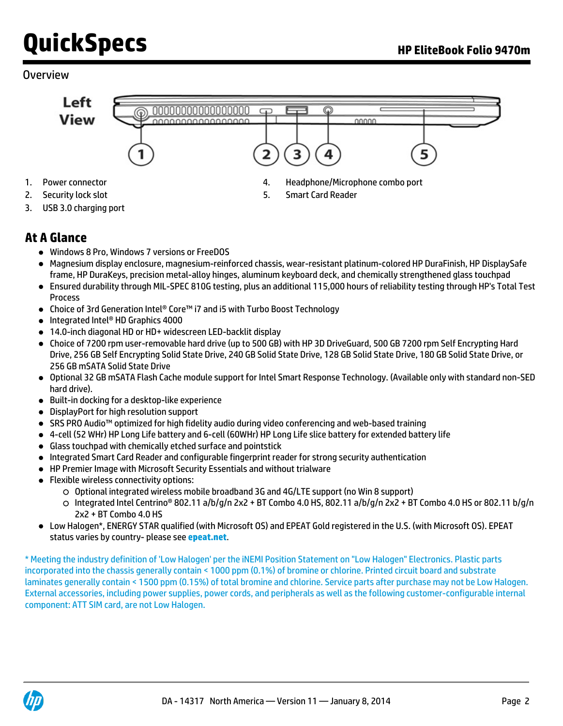### **Overview**



- 
- 3. USB 3.0 charging port

## **At A Glance**

- Windows 8 Pro, Windows 7 versions or FreeDOS
- Magnesium display enclosure, magnesium-reinforced chassis, wear-resistant platinum-colored HP DuraFinish, HP DisplaySafe frame, HP DuraKeys, precision metal-alloy hinges, aluminum keyboard deck, and chemically strengthened glass touchpad
- Ensured durability through MIL-SPEC 810G testing, plus an additional 115,000 hours of reliability testing through HP's Total Test Process
- Choice of 3rd Generation Intel® Core™ i7 and i5 with Turbo Boost Technology
- Integrated Intel® HD Graphics 4000
- 14.0-inch diagonal HD or HD+ widescreen LED-backlit display
- Choice of 7200 rpm user-removable hard drive (up to 500 GB) with HP 3D DriveGuard, 500 GB 7200 rpm Self Encrypting Hard Drive, 256 GB Self Encrypting Solid State Drive, 240 GB Solid State Drive, 128 GB Solid State Drive, 180 GB Solid State Drive, or 256 GB mSATA Solid State Drive
- Optional 32 GB mSATA Flash Cache module support for Intel Smart Response Technology. (Available only with standard non-SED hard drive).
- Built-in docking for a desktop-like experience
- DisplayPort for high resolution support
- SRS PRO Audio™ optimized for high fidelity audio during video conferencing and web-based training
- 4-cell (52 WHr) HP Long Life battery and 6-cell (60WHr) HP Long Life slice battery for extended battery life
- Glass touchpad with chemically etched surface and pointstick
- Integrated Smart Card Reader and configurable fingerprint reader for strong security authentication
- HP Premier Image with Microsoft Security Essentials and without trialware
- Flexible wireless connectivity options:
	- Optional integrated wireless mobile broadband 3G and 4G/LTE support (no Win 8 support)
	- Integrated Intel Centrino® 802.11 a/b/g/n 2x2 + BT Combo 4.0 HS, 802.11 a/b/g/n 2x2 + BT Combo 4.0 HS or 802.11 b/g/n 2x2 + BT Combo 4.0 HS
- Low Halogen\*, ENERGY STAR qualified (with Microsoft OS) and EPEAT Gold registered in the U.S. (with Microsoft OS). EPEAT status varies by country- please see **[epeat.net](http://www.epeat.net)**.

\* Meeting the industry definition of 'Low Halogen' per the iNEMI Position Statement on "Low Halogen" Electronics. Plastic parts incorporated into the chassis generally contain < 1000 ppm (0.1%) of bromine or chlorine. Printed circuit board and substrate laminates generally contain < 1500 ppm (0.15%) of total bromine and chlorine. Service parts after purchase may not be Low Halogen. External accessories, including power supplies, power cords, and peripherals as well as the following customer-configurable internal component: ATT SIM card, are not Low Halogen.

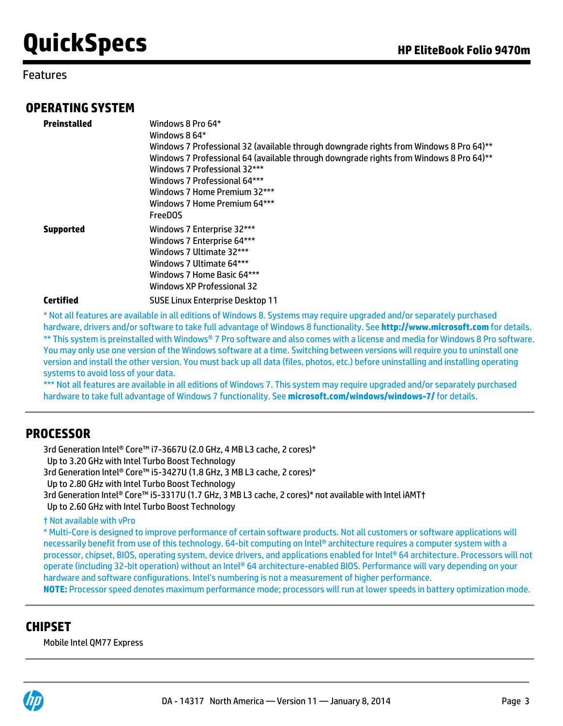### Features

### **OPERATING SYSTEM**

| Preinstalled     | Windows 8 Pro 64*<br>Windows 8 64*<br>Windows 7 Professional 32 (available through downgrade rights from Windows 8 Pro 64)**<br>Windows 7 Professional 64 (available through downgrade rights from Windows 8 Pro 64)**<br>Windows 7 Professional 32***<br>Windows 7 Professional 64***<br>Windows 7 Home Premium 32***<br>Windows 7 Home Premium 64***<br><b>FreeDOS</b> |
|------------------|--------------------------------------------------------------------------------------------------------------------------------------------------------------------------------------------------------------------------------------------------------------------------------------------------------------------------------------------------------------------------|
| <b>Supported</b> | Windows 7 Enterprise 32***<br>Windows 7 Enterprise 64***<br>Windows 7 Ultimate 32***<br>Windows 7 Ultimate 64***<br>Windows 7 Home Basic 64***<br>Windows XP Professional 32                                                                                                                                                                                             |
| <b>Certified</b> | <b>SUSE Linux Enterprise Desktop 11</b>                                                                                                                                                                                                                                                                                                                                  |

\* Not all features are available in all editions of Windows 8. Systems may require upgraded and/or separately purchased hardware, drivers and/or software to take full advantage of Windows 8 functionality. See **<http://www.microsoft.com>** for details. \*\* This system is preinstalled with Windows® 7 Pro software and also comes with a license and media for Windows 8 Pro software. You may only use one version of the Windows software at a time. Switching between versions will require you to uninstall one version and install the other version. You must back up all data (files, photos, etc.) before uninstalling and installing operating systems to avoid loss of your data.

\*\*\* Not all features are available in all editions of Windows 7. This system may require upgraded and/or separately purchased hardware to take full advantage of Windows 7 functionality. See **[microsoft.com/windows/windows-7/](http://www.microsoft.com/windows/windows-7/)** for details.

### **PROCESSOR**

3rd Generation Intel® Core™ i7-3667U (2.0 GHz, 4 MB L3 cache, 2 cores)\* Up to 3.20 GHz with Intel Turbo Boost Technology 3rd Generation Intel® Core™ i5-3427U (1.8 GHz, 3 MB L3 cache, 2 cores)\* Up to 2.80 GHz with Intel Turbo Boost Technology 3rd Generation Intel® Core™ i5-3317U (1.7 GHz, 3 MB L3 cache, 2 cores)\* not available with Intel iAMT† Up to 2.60 GHz with Intel Turbo Boost Technology

#### † Not available with vPro

\* Multi-Core is designed to improve performance of certain software products. Not all customers or software applications will necessarily benefit from use of this technology. 64-bit computing on Intel® architecture requires a computer system with a processor, chipset, BIOS, operating system, device drivers, and applications enabled for Intel® 64 architecture. Processors will not operate (including 32-bit operation) without an Intel® 64 architecture-enabled BIOS. Performance will vary depending on your hardware and software configurations. Intel's numbering is not a measurement of higher performance.

**NOTE:** Processor speed denotes maximum performance mode; processors will run at lower speeds in battery optimization mode.

## **CHIPSET**

Mobile Intel QM77 Express

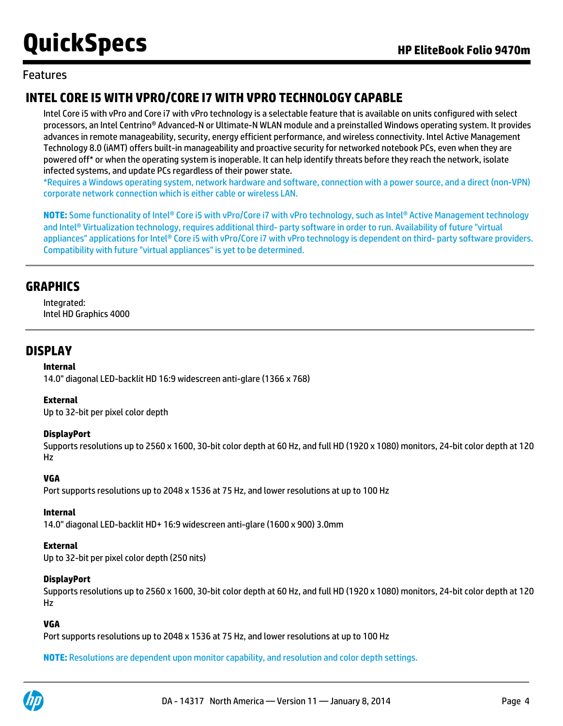### Features

# **INTEL CORE I5 WITH VPRO/CORE I7 WITH VPRO TECHNOLOGY CAPABLE**

Intel Core i5 with vPro and Core i7 with vPro technology is a selectable feature that is available on units configured with select processors, an Intel Centrino® Advanced-N or Ultimate-N WLAN module and a preinstalled Windows operating system. It provides advances in remote manageability, security, energy efficient performance, and wireless connectivity. Intel Active Management Technology 8.0 (iAMT) offers built-in manageability and proactive security for networked notebook PCs, even when they are powered off\* or when the operating system is inoperable. It can help identify threats before they reach the network, isolate infected systems, and update PCs regardless of their power state.

\*Requires a Windows operating system, network hardware and software, connection with a power source, and a direct (non-VPN) corporate network connection which is either cable or wireless LAN.

**NOTE:** Some functionality of Intel® Core i5 with vPro/Core i7 with vPro technology, such as Intel® Active Management technology and Intel® Virtualization technology, requires additional third- party software in order to run. Availability of future "virtual appliances" applications for Intel® Core i5 with vPro/Core i7 with vPro technology is dependent on third- party software providers. Compatibility with future "virtual appliances" is yet to be determined.

### **GRAPHICS**

Integrated: Intel HD Graphics 4000

### **DISPLAY**

#### **Internal**

14.0" diagonal LED-backlit HD 16:9 widescreen anti-glare (1366 x 768)

#### **External**

Up to 32-bit per pixel color depth

#### **DisplayPort**

Supports resolutions up to 2560 x 1600, 30-bit color depth at 60 Hz, and full HD (1920 x 1080) monitors, 24-bit color depth at 120 Hz

#### **VGA**

Port supports resolutions up to 2048 x 1536 at 75 Hz, and lower resolutions at up to 100 Hz

#### **Internal**

14.0" diagonal LED-backlit HD+ 16:9 widescreen anti-glare (1600 x 900) 3.0mm

#### **External**

Up to 32-bit per pixel color depth (250 nits)

#### **DisplayPort**

Supports resolutions up to 2560 x 1600, 30-bit color depth at 60 Hz, and full HD (1920 x 1080) monitors, 24-bit color depth at 120 Hz

#### **VGA**

Port supports resolutions up to 2048 x 1536 at 75 Hz, and lower resolutions at up to 100 Hz

**NOTE:** Resolutions are dependent upon monitor capability, and resolution and color depth settings.

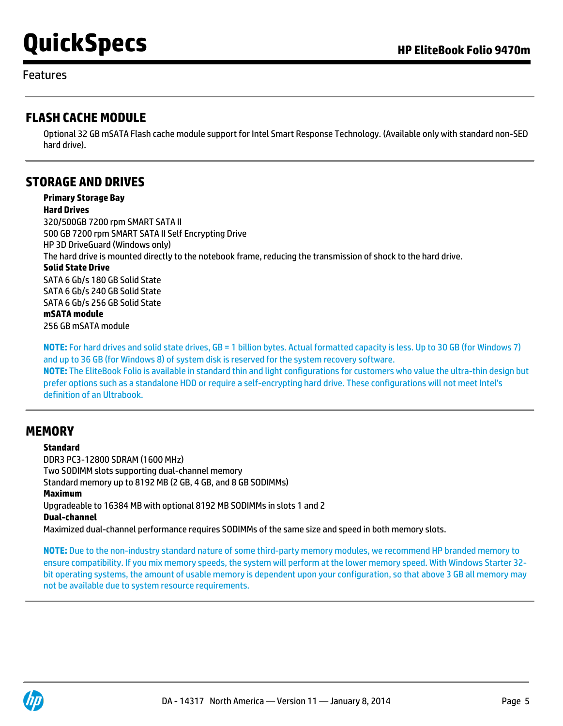#### Features

### **FLASH CACHE MODULE**

Optional 32 GB mSATA Flash cache module support for Intel Smart Response Technology. (Available only with standard non-SED hard drive).

### **STORAGE AND DRIVES**

**Primary Storage Bay Hard Drives** 320/500GB 7200 rpm SMART SATA II 500 GB 7200 rpm SMART SATA II Self Encrypting Drive HP 3D DriveGuard (Windows only) The hard drive is mounted directly to the notebook frame, reducing the transmission of shock to the hard drive. **Solid State Drive** SATA 6 Gb/s 180 GB Solid State SATA 6 Gb/s 240 GB Solid State SATA 6 Gb/s 256 GB Solid State **mSATA module** 256 GB mSATA module

**NOTE:** For hard drives and solid state drives, GB = 1 billion bytes. Actual formatted capacity is less. Up to 30 GB (for Windows 7) and up to 36 GB (for Windows 8) of system disk is reserved for the system recovery software. **NOTE:** The EliteBook Folio is available in standard thin and light configurations for customers who value the ultra-thin design but prefer options such as a standalone HDD or require a self-encrypting hard drive. These configurations will not meet Intel's definition of an Ultrabook.

### **MEMORY**

**Standard** DDR3 PC3-12800 SDRAM (1600 MHz) Two SODIMM slots supporting dual-channel memory Standard memory up to 8192 MB (2 GB, 4 GB, and 8 GB SODIMMs) **Maximum** Upgradeable to 16384 MB with optional 8192 MB SODIMMs in slots 1 and 2 **Dual-channel**

Maximized dual-channel performance requires SODIMMs of the same size and speed in both memory slots.

**NOTE:** Due to the non-industry standard nature of some third-party memory modules, we recommend HP branded memory to ensure compatibility. If you mix memory speeds, the system will perform at the lower memory speed. With Windows Starter 32 bit operating systems, the amount of usable memory is dependent upon your configuration, so that above 3 GB all memory may not be available due to system resource requirements.

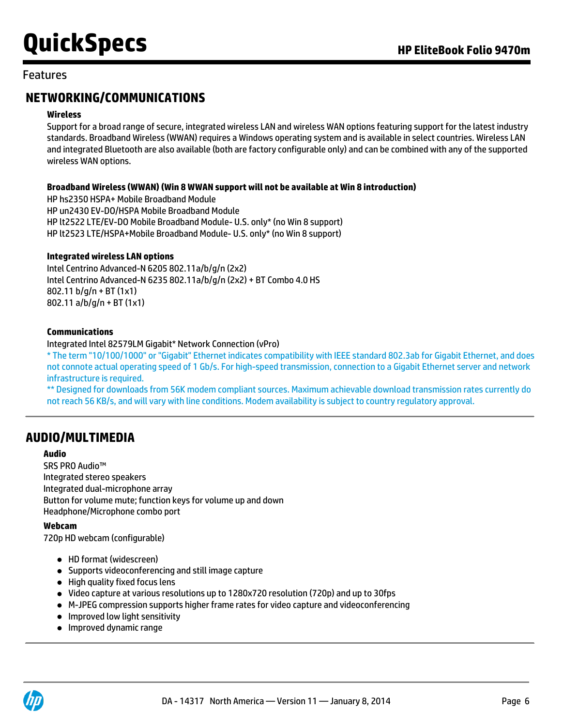### Features

# **NETWORKING/COMMUNICATIONS**

#### **Wireless**

Support for a broad range of secure, integrated wireless LAN and wireless WAN options featuring support for the latest industry standards. Broadband Wireless (WWAN) requires a Windows operating system and is available in select countries. Wireless LAN and integrated Bluetooth are also available (both are factory configurable only) and can be combined with any of the supported wireless WAN options.

#### **Broadband Wireless (WWAN) (Win 8 WWAN support will not be available at Win 8 introduction)**

HP hs2350 HSPA+ Mobile Broadband Module HP un2430 EV-DO/HSPA Mobile Broadband Module HP lt2522 LTE/EV-DO Mobile Broadband Module- U.S. only\* (no Win 8 support) HP lt2523 LTE/HSPA+Mobile Broadband Module- U.S. only\* (no Win 8 support)

#### **Integrated wireless LAN options**

Intel Centrino Advanced-N 6205 802.11a/b/g/n (2x2) Intel Centrino Advanced-N 6235 802.11a/b/g/n (2x2) + BT Combo 4.0 HS 802.11 b/g/n + BT (1x1) 802.11 a/b/g/n + BT (1x1)

#### **Communications**

#### Integrated Intel 82579LM Gigabit\* Network Connection (vPro)

\* The term "10/100/1000" or "Gigabit" Ethernet indicates compatibility with IEEE standard 802.3ab for Gigabit Ethernet, and does not connote actual operating speed of 1 Gb/s. For high-speed transmission, connection to a Gigabit Ethernet server and network infrastructure is required.

\*\* Designed for downloads from 56K modem compliant sources. Maximum achievable download transmission rates currently do not reach 56 KB/s, and will vary with line conditions. Modem availability is subject to country regulatory approval.

## **AUDIO/MULTIMEDIA**

#### **Audio**

SRS PRO Audio™ Integrated stereo speakers Integrated dual-microphone array Button for volume mute; function keys for volume up and down Headphone/Microphone combo port

#### **Webcam**

720p HD webcam (configurable)

- HD format (widescreen)
- Supports videoconferencing and still image capture
- High quality fixed focus lens
- Video capture at various resolutions up to 1280x720 resolution (720p) and up to 30fps
- M-JPEG compression supports higher frame rates for video capture and videoconferencing
- Improved low light sensitivity
- **•** Improved dynamic range

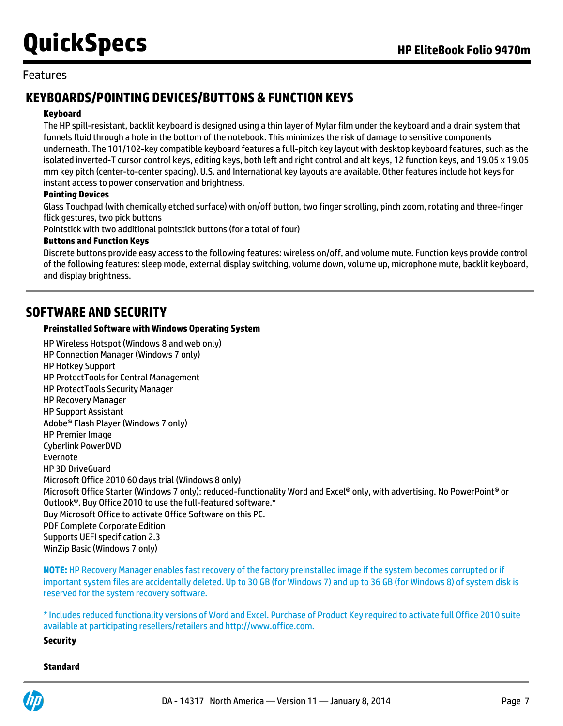#### Features

# **KEYBOARDS/POINTING DEVICES/BUTTONS & FUNCTION KEYS**

#### **Keyboard**

The HP spill-resistant, backlit keyboard is designed using a thin layer of Mylar film under the keyboard and a drain system that funnels fluid through a hole in the bottom of the notebook. This minimizes the risk of damage to sensitive components underneath. The 101/102-key compatible keyboard features a full-pitch key layout with desktop keyboard features, such as the isolated inverted-T cursor control keys, editing keys, both left and right control and alt keys, 12 function keys, and 19.05 x 19.05 mm key pitch (center-to-center spacing). U.S. and International key layouts are available. Other features include hot keys for instant access to power conservation and brightness.

#### **Pointing Devices**

Glass Touchpad (with chemically etched surface) with on/off button, two finger scrolling, pinch zoom, rotating and three-finger flick gestures, two pick buttons

Pointstick with two additional pointstick buttons (for a total of four)

#### **Buttons and Function Keys**

Discrete buttons provide easy access to the following features: wireless on/off, and volume mute. Function keys provide control of the following features: sleep mode, external display switching, volume down, volume up, microphone mute, backlit keyboard, and display brightness.

### **SOFTWARE AND SECURITY**

#### **Preinstalled Software with Windows Operating System**

HP Wireless Hotspot (Windows 8 and web only) HP Connection Manager (Windows 7 only) HP Hotkey Support HP ProtectTools for Central Management HP ProtectTools Security Manager HP Recovery Manager HP Support Assistant Adobe® Flash Player (Windows 7 only) HP Premier Image Cyberlink PowerDVD Evernote HP 3D DriveGuard Microsoft Office 2010 60 days trial (Windows 8 only) Microsoft Office Starter (Windows 7 only): reduced-functionality Word and Excel® only, with advertising. No PowerPoint® or Outlook®. Buy Office 2010 to use the full-featured software.\* Buy Microsoft Office to activate Office Software on this PC. PDF Complete Corporate Edition Supports UEFI specification 2.3 WinZip Basic (Windows 7 only)

**NOTE:** HP Recovery Manager enables fast recovery of the factory preinstalled image if the system becomes corrupted or if important system files are accidentally deleted. Up to 30 GB (for Windows 7) and up to 36 GB (for Windows 8) of system disk is reserved for the system recovery software.

\* Includes reduced functionality versions of Word and Excel. Purchase of Product Key required to activate full Office 2010 suite available at participating resellers/retailers and<http://www.office.com>.

**Security**

#### **Standard**

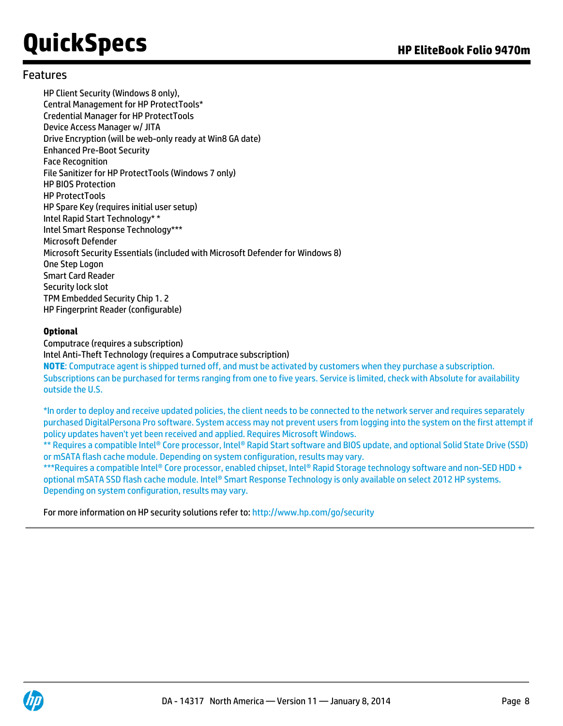#### Features

HP Client Security (Windows 8 only), Central Management for HP ProtectTools\* Credential Manager for HP ProtectTools Device Access Manager w/ JITA Drive Encryption (will be web-only ready at Win8 GA date) Enhanced Pre-Boot Security Face Recognition File Sanitizer for HP ProtectTools (Windows 7 only) HP BIOS Protection HP ProtectTools HP Spare Key (requires initial user setup) Intel Rapid Start Technology\* \* Intel Smart Response Technology\*\*\* Microsoft Defender Microsoft Security Essentials (included with Microsoft Defender for Windows 8) One Step Logon Smart Card Reader Security lock slot TPM Embedded Security Chip 1. 2 HP Fingerprint Reader (configurable)

#### **Optional**

Computrace (requires a subscription) Intel Anti-Theft Technology (requires a Computrace subscription) **NOTE**: Computrace agent is shipped turned off, and must be activated by customers when they purchase a subscription. Subscriptions can be purchased for terms ranging from one to five years. Service is limited, check with Absolute for availability outside the U.S.

\*In order to deploy and receive updated policies, the client needs to be connected to the network server and requires separately purchased DigitalPersona Pro software. System access may not prevent users from logging into the system on the first attempt if policy updates haven't yet been received and applied. Requires Microsoft Windows.

\*\* Requires a compatible Intel® Core processor, Intel® Rapid Start software and BIOS update, and optional Solid State Drive (SSD) or mSATA flash cache module. Depending on system configuration, results may vary.

\*\*\*Requires a compatible Intel® Core processor, enabled chipset, Intel® Rapid Storage technology software and non-SED HDD + optional mSATA SSD flash cache module. Intel® Smart Response Technology is only available on select 2012 HP systems. Depending on system configuration, results may vary.

For more information on HP security solutions refer to: <http://www.hp.com/go/security>

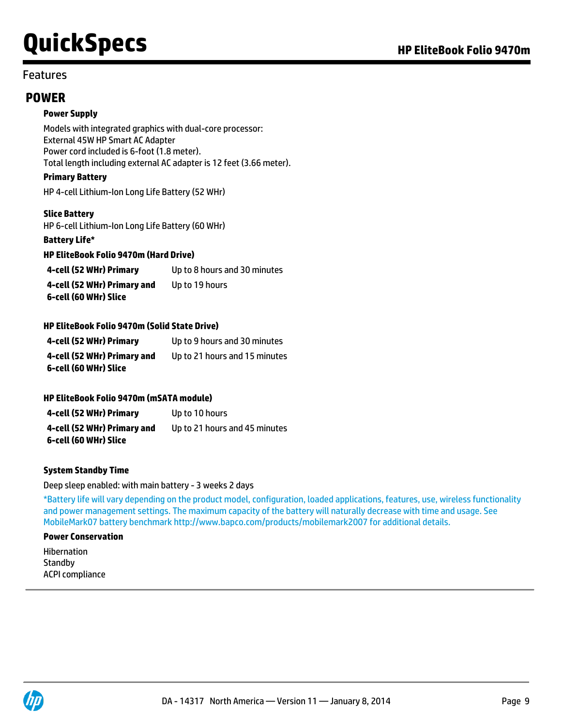#### Features

### **POWER**

#### **Power Supply**

Models with integrated graphics with dual-core processor: External 45W HP Smart AC Adapter Power cord included is 6-foot (1.8 meter). Total length including external AC adapter is 12 feet (3.66 meter).

#### **Primary Battery**

HP 4-cell Lithium-Ion Long Life Battery (52 WHr)

#### **Slice Battery**

HP 6-cell Lithium-Ion Long Life Battery (60 WHr)

**Battery Life\***

#### **HP EliteBook Folio 9470m (Hard Drive)**

| 4-cell (52 WHr) Primary     | Up to 8 hours and 30 minutes |
|-----------------------------|------------------------------|
| 4-cell (52 WHr) Primary and | Up to 19 hours               |
| 6-cell (60 WHr) Slice       |                              |

#### **HP EliteBook Folio 9470m (Solid State Drive)**

| 4-cell (52 WHr) Primary     | Up to 9 hours and 30 minutes  |
|-----------------------------|-------------------------------|
| 4-cell (52 WHr) Primary and | Up to 21 hours and 15 minutes |
| 6-cell (60 WHr) Slice       |                               |

#### **HP EliteBook Folio 9470m (mSATA module)**

| 4-cell (52 WHr) Primary     | Up to 10 hours                |
|-----------------------------|-------------------------------|
| 4-cell (52 WHr) Primary and | Up to 21 hours and 45 minutes |
| 6-cell (60 WHr) Slice       |                               |

#### **System Standby Time**

#### Deep sleep enabled: with main battery - 3 weeks 2 days

\*Battery life will vary depending on the product model, configuration, loaded applications, features, use, wireless functionality and power management settings. The maximum capacity of the battery will naturally decrease with time and usage. See MobileMark07 battery benchmark <http://www.bapco.com/products/mobilemark2007> for additional details.

#### **Power Conservation**

Hibernation **Standby** ACPI compliance

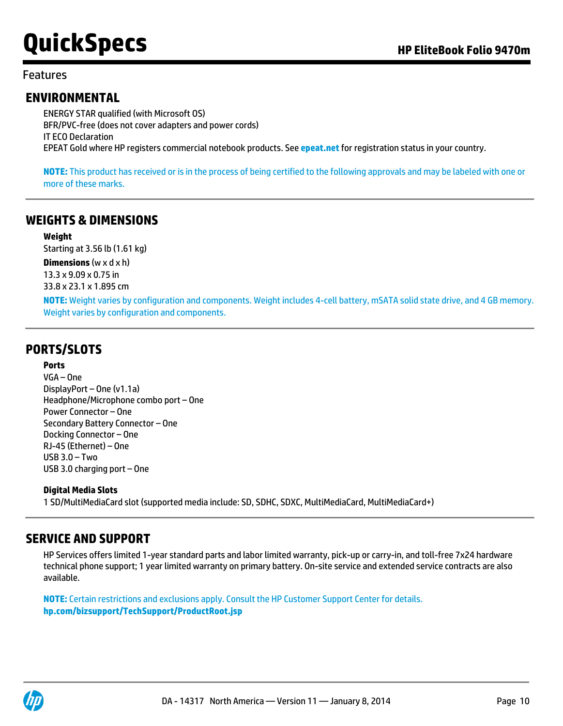### Features

## **ENVIRONMENTAL**

ENERGY STAR qualified (with Microsoft OS) BFR/PVC-free (does not cover adapters and power cords) IT ECO Declaration EPEAT Gold where HP registers commercial notebook products. See **[epeat.net](http://www.epeat.net)** for registration status in your country.

**NOTE:** This product has received or is in the process of being certified to the following approvals and may be labeled with one or more of these marks.

## **WEIGHTS & DIMENSIONS**

#### **Weight**

Starting at 3.56 lb (1.61 kg)

**Dimensions** (w x d x h) 13.3 x 9.09 x 0.75 in 33.8 x 23.1 x 1.895 cm

**NOTE:** Weight varies by configuration and components. Weight includes 4-cell battery, mSATA solid state drive, and 4 GB memory. Weight varies by configuration and components.

# **PORTS/SLOTS**

#### **Ports**

VGA – One DisplayPort – One (v1.1a) Headphone/Microphone combo port – One Power Connector – One Secondary Battery Connector – One Docking Connector – One RJ-45 (Ethernet) – One USB 3.0 – Two USB 3.0 charging port – One

#### **Digital Media Slots**

1 SD/MultiMediaCard slot (supported media include: SD, SDHC, SDXC, MultiMediaCard, MultiMediaCard+)

## **SERVICE AND SUPPORT**

HP Services offers limited 1-year standard parts and labor limited warranty, pick-up or carry-in, and toll-free 7x24 hardware technical phone support; 1 year limited warranty on primary battery. On-site service and extended service contracts are also available.

**NOTE:** Certain restrictions and exclusions apply. Consult the HP Customer Support Center for details. **[hp.com/bizsupport/TechSupport/ProductRoot.jsp](http://h20000.www2.hp.com/bizsupport/TechSupport/ProductRoot.jsp)**

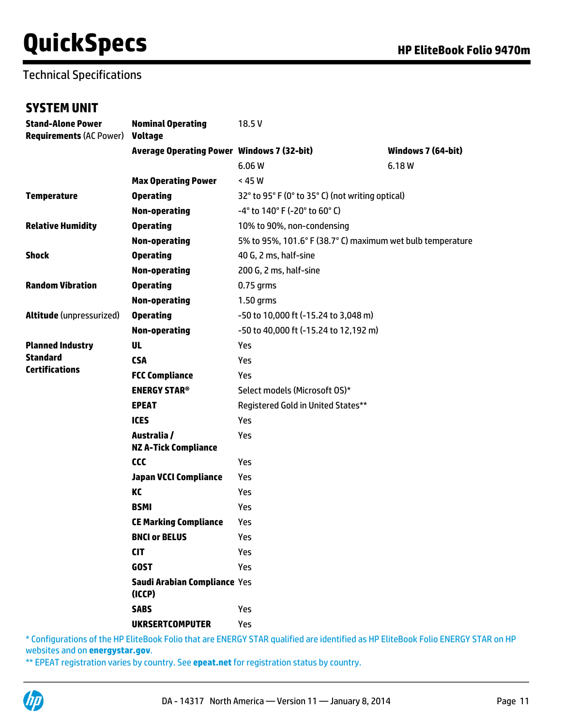# Technical Specifications

### **SYSTEM UNIT**

| <b>Stand-Alone Power</b><br>Requirements (AC Power) Voltage | <b>Nominal Operating</b>                          | 18.5V                                                      |                    |  |
|-------------------------------------------------------------|---------------------------------------------------|------------------------------------------------------------|--------------------|--|
|                                                             | <b>Average Operating Power Windows 7 (32-bit)</b> |                                                            | Windows 7 (64-bit) |  |
|                                                             |                                                   | 6.06 W                                                     | 6.18 W             |  |
|                                                             | <b>Max Operating Power</b>                        | < 45 W                                                     |                    |  |
| Temperature                                                 | <b>Operating</b>                                  | 32° to 95° F (0° to 35° C) (not writing optical)           |                    |  |
|                                                             | <b>Non-operating</b>                              | $-4^{\circ}$ to 140° F (-20° to 60° C)                     |                    |  |
| <b>Relative Humidity</b>                                    | <b>Operating</b>                                  | 10% to 90%, non-condensing                                 |                    |  |
|                                                             | <b>Non-operating</b>                              | 5% to 95%, 101.6° F (38.7° C) maximum wet bulb temperature |                    |  |
| Shock                                                       | <b>Operating</b>                                  | 40 G, 2 ms, half-sine                                      |                    |  |
|                                                             | Non-operating                                     | 200 G, 2 ms, half-sine                                     |                    |  |
| <b>Random Vibration</b>                                     | <b>Operating</b>                                  | $0.75$ grms                                                |                    |  |
|                                                             | <b>Non-operating</b>                              | $1.50$ grms                                                |                    |  |
| Altitude (unpressurized)                                    | <b>Operating</b>                                  | -50 to 10,000 ft (-15.24 to 3,048 m)                       |                    |  |
|                                                             | <b>Non-operating</b>                              | -50 to 40,000 ft (-15.24 to 12,192 m)                      |                    |  |
| <b>Planned Industry</b>                                     | <b>UL</b>                                         | Yes                                                        |                    |  |
| Standard                                                    | <b>CSA</b>                                        | Yes                                                        |                    |  |
| <b>Certifications</b>                                       | <b>FCC Compliance</b>                             | Yes                                                        |                    |  |
|                                                             | <b>ENERGY STAR®</b>                               | Select models (Microsoft OS)*                              |                    |  |
|                                                             | <b>EPEAT</b>                                      | Registered Gold in United States**                         |                    |  |
|                                                             | <b>ICES</b>                                       | Yes                                                        |                    |  |
|                                                             | Australia /<br><b>NZ A-Tick Compliance</b>        | Yes                                                        |                    |  |
|                                                             | ccc                                               | Yes                                                        |                    |  |
|                                                             | <b>Japan VCCI Compliance</b>                      | Yes                                                        |                    |  |
|                                                             | KC                                                | Yes                                                        |                    |  |
|                                                             | <b>BSMI</b>                                       | Yes                                                        |                    |  |
|                                                             | <b>CE Marking Compliance</b>                      | Yes                                                        |                    |  |
|                                                             | <b>BNCI or BELUS</b>                              | Yes<br>Yes                                                 |                    |  |
|                                                             | <b>CIT</b>                                        |                                                            |                    |  |
|                                                             | <b>GOST</b>                                       | Yes                                                        |                    |  |
|                                                             | Saudi Arabian Compliance Yes<br>(ICCP)            |                                                            |                    |  |
|                                                             | <b>SABS</b>                                       | Yes                                                        |                    |  |
|                                                             | <b>UKRSERTCOMPUTER</b>                            | Yes                                                        |                    |  |

\* Configurations of the HP EliteBook Folio that are ENERGY STAR qualified are identified as HP EliteBook Folio ENERGY STAR on HP websites and on **[energystar.gov](http://www.energystar.gov)**.

\*\* EPEAT registration varies by country. See **[epeat.net](http://www.epeat.net)** for registration status by country.

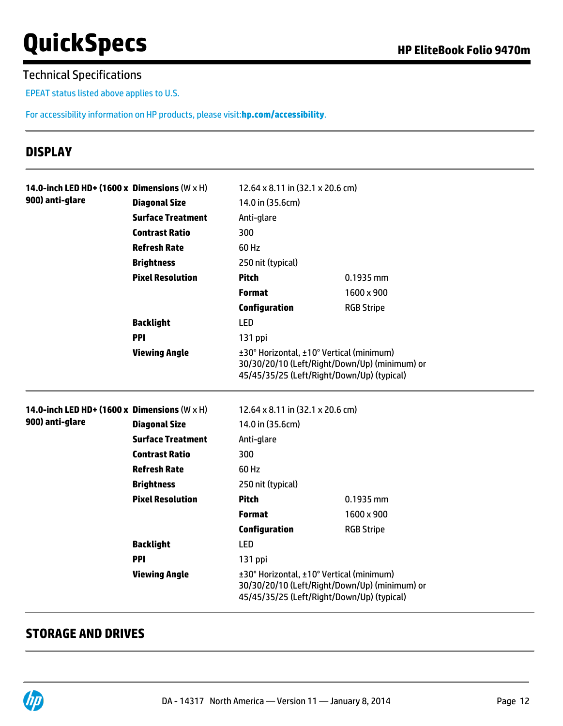## Technical Specifications

EPEAT status listed above applies to U.S.

For accessibility information on HP products, please visit:**[hp.com/accessibility](http://www.hp.com/accessibility)**.

# **DISPLAY**

| 14.0-inch LED HD+ (1600 x Dimensions $(W \times H)$ ) |                          | 12.64 x 8.11 in (32.1 x 20.6 cm)                                                                                                        |                   |  |
|-------------------------------------------------------|--------------------------|-----------------------------------------------------------------------------------------------------------------------------------------|-------------------|--|
| 900) anti-glare                                       | <b>Diagonal Size</b>     | 14.0 in (35.6cm)<br>Anti-glare                                                                                                          |                   |  |
|                                                       | <b>Surface Treatment</b> |                                                                                                                                         |                   |  |
|                                                       | <b>Contrast Ratio</b>    | 300                                                                                                                                     |                   |  |
|                                                       | <b>Refresh Rate</b>      | 60 Hz                                                                                                                                   |                   |  |
|                                                       | <b>Brightness</b>        | 250 nit (typical)                                                                                                                       |                   |  |
|                                                       | <b>Pixel Resolution</b>  | <b>Pitch</b>                                                                                                                            | $0.1935$ mm       |  |
|                                                       |                          | <b>Format</b>                                                                                                                           | 1600 x 900        |  |
|                                                       |                          | <b>Configuration</b>                                                                                                                    | <b>RGB Stripe</b> |  |
|                                                       | <b>Backlight</b>         | LED                                                                                                                                     |                   |  |
|                                                       | <b>PPI</b>               | 131 ppi                                                                                                                                 |                   |  |
|                                                       | <b>Viewing Angle</b>     | ±30° Horizontal, ±10° Vertical (minimum)<br>30/30/20/10 (Left/Right/Down/Up) (minimum) or<br>45/45/35/25 (Left/Right/Down/Up) (typical) |                   |  |
| 14.0-inch LED HD+ (1600 x Dimensions $(W \times H)$ ) |                          | 12.64 x 8.11 in (32.1 x 20.6 cm)                                                                                                        |                   |  |
| 900) anti-glare                                       | <b>Diagonal Size</b>     | 14.0 in (35.6cm)                                                                                                                        |                   |  |
|                                                       | <b>Surface Treatment</b> | Anti-glare                                                                                                                              |                   |  |
|                                                       | <b>Contrast Ratio</b>    | 300                                                                                                                                     |                   |  |
|                                                       | <b>Refresh Rate</b>      | 60 Hz                                                                                                                                   |                   |  |
|                                                       | <b>Brightness</b>        | 250 nit (typical)                                                                                                                       |                   |  |
|                                                       | <b>Pixel Resolution</b>  | <b>Pitch</b>                                                                                                                            | 0.1935 mm         |  |
|                                                       |                          | <b>Format</b>                                                                                                                           | 1600 x 900        |  |
|                                                       |                          | <b>Configuration</b>                                                                                                                    | <b>RGB Stripe</b> |  |
|                                                       | <b>Backlight</b>         | LED                                                                                                                                     |                   |  |
|                                                       | PPI                      | 131 ppi                                                                                                                                 |                   |  |
|                                                       | <b>Viewing Angle</b>     | ±30° Horizontal, ±10° Vertical (minimum)<br>30/30/20/10 (Left/Right/Down/Up) (minimum) or<br>45/45/35/25 (Left/Right/Down/Up) (typical) |                   |  |

## **STORAGE AND DRIVES**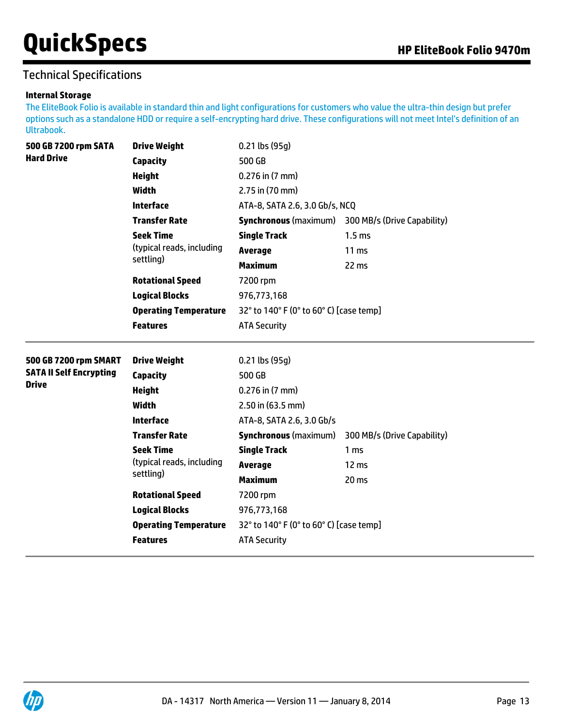# Technical Specifications

#### **Internal Storage**

The EliteBook Folio is available in standard thin and light configurations for customers who value the ultra-thin design but prefer options such as a standalone HDD or require a self-encrypting hard drive. These configurations will not meet Intel's definition of an Ultrabook.

| 500 GB 7200 rpm SATA                           | <b>Drive Weight</b>          | $0.21$ lbs (95g)                        |                                                          |  |
|------------------------------------------------|------------------------------|-----------------------------------------|----------------------------------------------------------|--|
| <b>Hard Drive</b>                              | <b>Capacity</b>              | 500 GB<br>$0.276$ in $(7$ mm)           |                                                          |  |
|                                                | <b>Height</b>                |                                         |                                                          |  |
|                                                | <b>Width</b>                 | 2.75 in (70 mm)                         |                                                          |  |
|                                                | <b>Interface</b>             | ATA-8, SATA 2.6, 3.0 Gb/s, NCQ          |                                                          |  |
|                                                | <b>Transfer Rate</b>         |                                         | <b>Synchronous</b> (maximum) 300 MB/s (Drive Capability) |  |
|                                                | <b>Seek Time</b>             | <b>Single Track</b>                     | 1.5 <sub>ms</sub>                                        |  |
|                                                | (typical reads, including    | <b>Average</b>                          | $11 \text{ ms}$                                          |  |
|                                                | settling)                    | <b>Maximum</b>                          | 22 ms                                                    |  |
|                                                | <b>Rotational Speed</b>      | 7200 rpm                                |                                                          |  |
|                                                | <b>Logical Blocks</b>        | 976,773,168                             |                                                          |  |
|                                                | <b>Operating Temperature</b> | 32° to 140° F (0° to 60° C) [case temp] |                                                          |  |
|                                                | <b>Features</b>              | <b>ATA Security</b>                     |                                                          |  |
| 500 GB 7200 rpm SMART                          | <b>Drive Weight</b>          | $0.21$ lbs (95g)                        |                                                          |  |
| <b>SATA II Self Encrypting</b><br><b>Drive</b> | <b>Capacity</b>              | 500 GB                                  |                                                          |  |
|                                                | <b>Height</b>                | $0.276$ in $(7$ mm)                     |                                                          |  |
|                                                | <b>Width</b>                 | 2.50 in (63.5 mm)                       |                                                          |  |
|                                                | <b>Interface</b>             | ATA-8, SATA 2.6, 3.0 Gb/s               |                                                          |  |
|                                                | <b>Transfer Rate</b>         | <b>Synchronous (maximum)</b>            | 300 MB/s (Drive Capability)                              |  |
|                                                | <b>Seek Time</b>             | <b>Single Track</b>                     | 1 <sub>ms</sub>                                          |  |
|                                                | (typical reads, including    | <b>Average</b>                          | 12 ms                                                    |  |
|                                                | settling)                    | <b>Maximum</b>                          | 20 <sub>ms</sub>                                         |  |
|                                                | <b>Rotational Speed</b>      | 7200 rpm                                |                                                          |  |
|                                                | <b>Logical Blocks</b>        | 976,773,168                             |                                                          |  |
|                                                | <b>Operating Temperature</b> | 32° to 140° F (0° to 60° C) [case temp] |                                                          |  |
|                                                | <b>Features</b>              | <b>ATA Security</b>                     |                                                          |  |
|                                                |                              |                                         |                                                          |  |

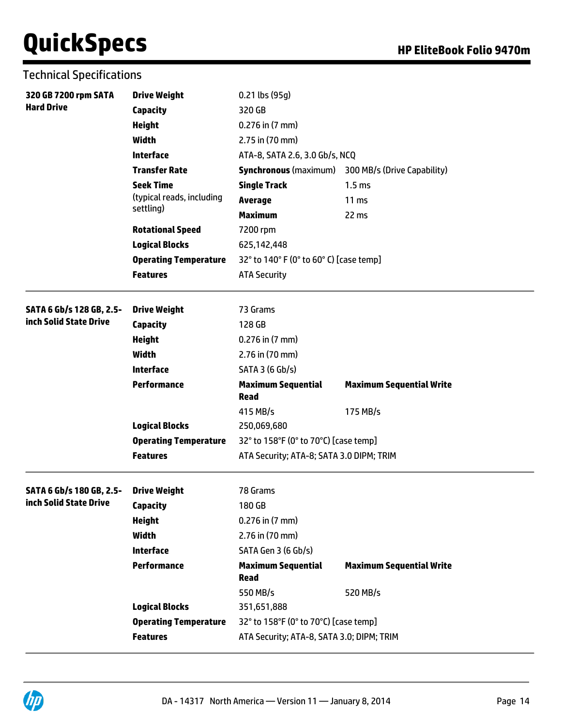|  | <b>Technical Specifications</b> |
|--|---------------------------------|
|--|---------------------------------|

| 320 GB 7200 rpm SATA<br><b>Hard Drive</b> | <b>Drive Weight</b><br><b>Capacity</b> | 0.21 lbs (95g)<br>320 GB                  |                                                          |
|-------------------------------------------|----------------------------------------|-------------------------------------------|----------------------------------------------------------|
|                                           | <b>Height</b>                          | $0.276$ in $(7$ mm)                       |                                                          |
|                                           | <b>Width</b>                           | 2.75 in (70 mm)                           |                                                          |
|                                           | <b>Interface</b>                       | ATA-8, SATA 2.6, 3.0 Gb/s, NCQ            |                                                          |
|                                           | <b>Transfer Rate</b>                   |                                           | <b>Synchronous</b> (maximum) 300 MB/s (Drive Capability) |
|                                           | <b>Seek Time</b>                       | <b>Single Track</b>                       | 1.5 <sub>ms</sub>                                        |
|                                           | (typical reads, including              | <b>Average</b>                            | 11 <sub>ms</sub>                                         |
|                                           | settling)                              | <b>Maximum</b>                            | 22 ms                                                    |
|                                           | <b>Rotational Speed</b>                | 7200 rpm                                  |                                                          |
|                                           | <b>Logical Blocks</b>                  | 625,142,448                               |                                                          |
|                                           | <b>Operating Temperature</b>           | 32° to 140° F (0° to 60° C) [case temp]   |                                                          |
|                                           | <b>Features</b>                        | <b>ATA Security</b>                       |                                                          |
| SATA 6 Gb/s 128 GB, 2.5-                  | <b>Drive Weight</b>                    | 73 Grams                                  |                                                          |
| inch Solid State Drive                    | <b>Capacity</b>                        | 128 GB                                    |                                                          |
|                                           | <b>Height</b>                          | $0.276$ in $(7$ mm)                       |                                                          |
|                                           | <b>Width</b>                           | 2.76 in (70 mm)                           |                                                          |
|                                           | <b>Interface</b>                       | SATA 3 (6 Gb/s)                           |                                                          |
|                                           | <b>Performance</b>                     | <b>Maximum Sequential</b><br><b>Read</b>  | <b>Maximum Sequential Write</b>                          |
|                                           |                                        | 415 MB/s                                  | 175 MB/s                                                 |
|                                           | <b>Logical Blocks</b>                  | 250,069,680                               |                                                          |
|                                           | <b>Operating Temperature</b>           | 32° to 158°F (0° to 70°C) [case temp]     |                                                          |
|                                           | <b>Features</b>                        | ATA Security; ATA-8; SATA 3.0 DIPM; TRIM  |                                                          |
| SATA 6 Gb/s 180 GB, 2.5-                  | <b>Drive Weight</b>                    | 78 Grams                                  |                                                          |
| inch Solid State Drive                    | <b>Capacity</b>                        | 180 GB                                    |                                                          |
|                                           | <b>Height</b>                          | 0.276 in (7 mm)                           |                                                          |
|                                           | Width                                  | 2.76 in (70 mm)                           |                                                          |
|                                           | <b>Interface</b>                       | SATA Gen 3 (6 Gb/s)                       |                                                          |
|                                           | <b>Performance</b>                     | <b>Maximum Sequential</b><br><b>Read</b>  | <b>Maximum Sequential Write</b>                          |
|                                           |                                        | 550 MB/s                                  | 520 MB/s                                                 |
|                                           | <b>Logical Blocks</b>                  | 351,651,888                               |                                                          |
|                                           | <b>Operating Temperature</b>           | 32° to 158°F (0° to 70°C) [case temp]     |                                                          |
|                                           | <b>Features</b>                        | ATA Security; ATA-8, SATA 3.0; DIPM; TRIM |                                                          |

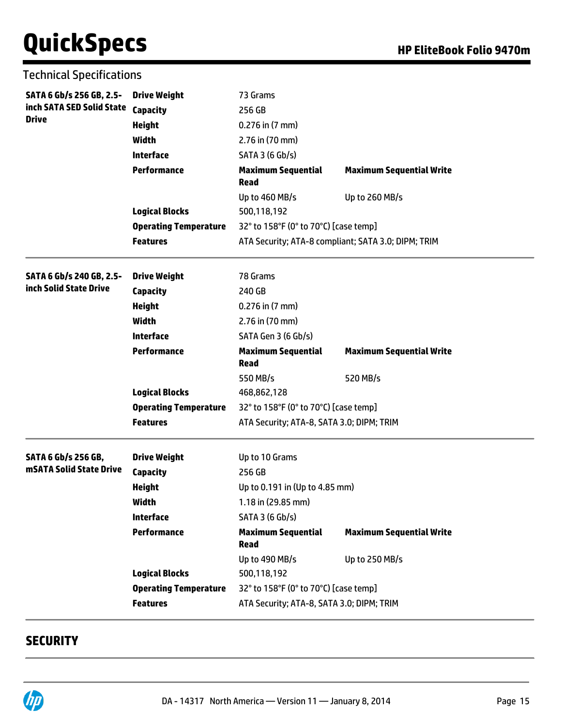| <b>Technical Specifications</b>            |  |
|--------------------------------------------|--|
| SATA 6 Gb/s 256 GB, 2.5- Drive Weight<br>. |  |

| SATA 6 Gb/s 256 GB, 2.5-   | <b>Drive Weight</b>          | 73 Grams                                            |                                 |  |
|----------------------------|------------------------------|-----------------------------------------------------|---------------------------------|--|
| inch SATA SED Solid State  | Capacity                     | 256 GB                                              |                                 |  |
| <b>Drive</b>               | <b>Height</b>                | $0.276$ in $(7 \text{ mm})$                         |                                 |  |
|                            | <b>Width</b>                 | 2.76 in (70 mm)                                     |                                 |  |
|                            | <b>Interface</b>             | SATA 3 (6 Gb/s)                                     |                                 |  |
|                            | <b>Performance</b>           | <b>Maximum Sequential</b><br><b>Read</b>            | <b>Maximum Sequential Write</b> |  |
|                            |                              | Up to 460 MB/s                                      | Up to 260 MB/s                  |  |
|                            | <b>Logical Blocks</b>        | 500,118,192                                         |                                 |  |
|                            | <b>Operating Temperature</b> | 32° to 158°F (0° to 70°C) [case temp]               |                                 |  |
|                            | <b>Features</b>              | ATA Security; ATA-8 compliant; SATA 3.0; DIPM; TRIM |                                 |  |
| SATA 6 Gb/s 240 GB, 2.5-   | <b>Drive Weight</b>          | 78 Grams                                            |                                 |  |
| inch Solid State Drive     | <b>Capacity</b>              | 240 GB                                              |                                 |  |
|                            | <b>Height</b>                | $0.276$ in $(7$ mm)                                 |                                 |  |
|                            | <b>Width</b>                 | 2.76 in (70 mm)                                     |                                 |  |
|                            | <b>Interface</b>             | SATA Gen 3 (6 Gb/s)                                 |                                 |  |
|                            | <b>Performance</b>           | <b>Maximum Sequential</b><br><b>Read</b>            | <b>Maximum Sequential Write</b> |  |
|                            |                              | 550 MB/s                                            | 520 MB/s                        |  |
|                            | <b>Logical Blocks</b>        | 468,862,128                                         |                                 |  |
|                            | <b>Operating Temperature</b> | 32° to 158°F (0° to 70°C) [case temp]               |                                 |  |
|                            | <b>Features</b>              | ATA Security; ATA-8, SATA 3.0; DIPM; TRIM           |                                 |  |
| <b>SATA 6 Gb/s 256 GB,</b> | <b>Drive Weight</b>          | Up to 10 Grams                                      |                                 |  |
| mSATA Solid State Drive    | <b>Capacity</b>              | 256 GB                                              |                                 |  |
|                            | <b>Height</b>                | Up to 0.191 in (Up to 4.85 mm)                      |                                 |  |
|                            | <b>Width</b>                 | 1.18 in (29.85 mm)                                  |                                 |  |
|                            | <b>Interface</b>             | SATA 3 (6 Gb/s)                                     |                                 |  |
|                            | <b>Performance</b>           | <b>Maximum Sequential</b><br><b>Read</b>            | <b>Maximum Sequential Write</b> |  |
|                            |                              | Up to 490 MB/s                                      | Up to 250 MB/s                  |  |
|                            | <b>Logical Blocks</b>        | 500,118,192                                         |                                 |  |
|                            | <b>Operating Temperature</b> | 32° to 158°F (0° to 70°C) [case temp]               |                                 |  |
|                            | <b>Features</b>              | ATA Security; ATA-8, SATA 3.0; DIPM; TRIM           |                                 |  |

# **SECURITY**

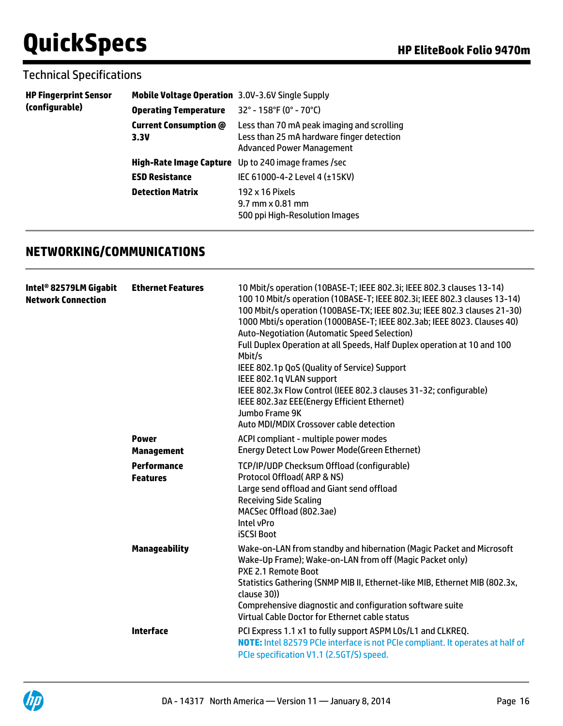## Technical Specifications

| <b>HP Fingerprint Sensor</b><br>(configurable) | <b>Mobile Voltage Operation</b> 3.0V-3.6V Single Supply |                                                                                                                             |
|------------------------------------------------|---------------------------------------------------------|-----------------------------------------------------------------------------------------------------------------------------|
|                                                | <b>Operating Temperature</b>                            | $32^{\circ}$ - 158°F (0° - 70°C)                                                                                            |
|                                                | <b>Current Consumption @</b><br>3.3V                    | Less than 70 mA peak imaging and scrolling<br>Less than 25 mA hardware finger detection<br><b>Advanced Power Management</b> |
|                                                | High-Rate Image Capture                                 | Up to 240 image frames /sec                                                                                                 |
|                                                | <b>ESD Resistance</b>                                   | IEC 61000-4-2 Level 4 ( $±15$ KV)                                                                                           |
|                                                | <b>Detection Matrix</b>                                 | 192 x 16 Pixels<br>$9.7$ mm $\times$ 0.81 mm<br>500 ppi High-Resolution Images                                              |

# **NETWORKING/COMMUNICATIONS**

| Intel® 82579LM Gigabit<br><b>Network Connection</b> | <b>Ethernet Features</b>          | 10 Mbit/s operation (10BASE-T; IEEE 802.3i; IEEE 802.3 clauses 13-14)<br>100 10 Mbit/s operation (10BASE-T; IEEE 802.3i; IEEE 802.3 clauses 13-14)<br>100 Mbit/s operation (100BASE-TX; IEEE 802.3u; IEEE 802.3 clauses 21-30)<br>1000 Mbti/s operation (1000BASE-T; IEEE 802.3ab; IEEE 8023. Clauses 40)<br><b>Auto-Negotiation (Automatic Speed Selection)</b><br>Full Duplex Operation at all Speeds, Half Duplex operation at 10 and 100<br>Mbit/s<br>IEEE 802.1p QoS (Quality of Service) Support<br>IEEE 802.1q VLAN support<br>IEEE 802.3x Flow Control (IEEE 802.3 clauses 31-32; configurable)<br>IEEE 802.3az EEE(Energy Efficient Ethernet)<br>Jumbo Frame 9K<br>Auto MDI/MDIX Crossover cable detection |
|-----------------------------------------------------|-----------------------------------|---------------------------------------------------------------------------------------------------------------------------------------------------------------------------------------------------------------------------------------------------------------------------------------------------------------------------------------------------------------------------------------------------------------------------------------------------------------------------------------------------------------------------------------------------------------------------------------------------------------------------------------------------------------------------------------------------------------------|
|                                                     | <b>Power</b><br><b>Management</b> | ACPI compliant - multiple power modes<br><b>Energy Detect Low Power Mode(Green Ethernet)</b>                                                                                                                                                                                                                                                                                                                                                                                                                                                                                                                                                                                                                        |
|                                                     | Performance<br><b>Features</b>    | TCP/IP/UDP Checksum Offload (configurable)<br>Protocol Offload (ARP & NS)<br>Large send offload and Giant send offload<br><b>Receiving Side Scaling</b><br>MACSec Offload (802.3ae)<br>Intel vPro<br><b>iSCSI Boot</b>                                                                                                                                                                                                                                                                                                                                                                                                                                                                                              |
|                                                     | <b>Manageability</b>              | Wake-on-LAN from standby and hibernation (Magic Packet and Microsoft<br>Wake-Up Frame); Wake-on-LAN from off (Magic Packet only)<br>PXE 2.1 Remote Boot<br>Statistics Gathering (SNMP MIB II, Ethernet-like MIB, Ethernet MIB (802.3x,<br>clause 30))<br>Comprehensive diagnostic and configuration software suite<br>Virtual Cable Doctor for Ethernet cable status                                                                                                                                                                                                                                                                                                                                                |
|                                                     | <b>Interface</b>                  | PCI Express 1.1 x1 to fully support ASPM LOs/L1 and CLKREQ.<br><b>NOTE:</b> Intel 82579 PCIe interface is not PCIe compliant. It operates at half of<br>PCIe specification V1.1 (2.5GT/S) speed.                                                                                                                                                                                                                                                                                                                                                                                                                                                                                                                    |
|                                                     |                                   |                                                                                                                                                                                                                                                                                                                                                                                                                                                                                                                                                                                                                                                                                                                     |

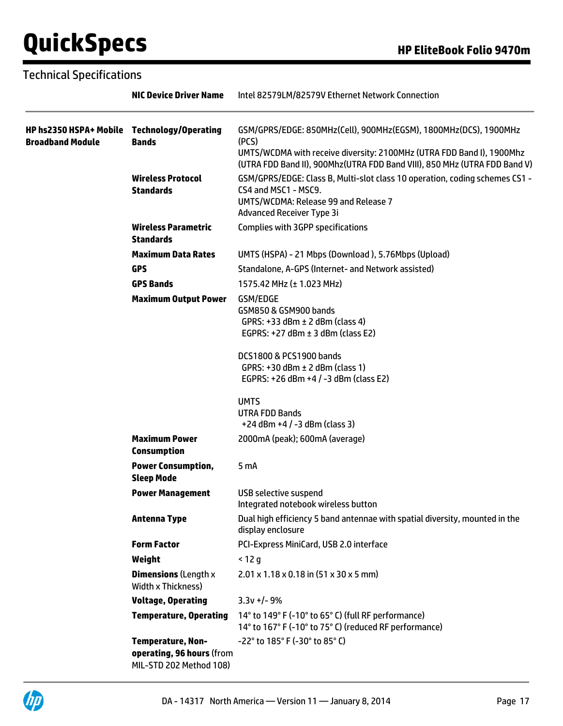|                                                                        | <b>NIC Device Driver Name</b>                                                    | Intel 82579LM/82579V Ethernet Network Connection                                                                                                                                                                                                             |
|------------------------------------------------------------------------|----------------------------------------------------------------------------------|--------------------------------------------------------------------------------------------------------------------------------------------------------------------------------------------------------------------------------------------------------------|
| HP hs2350 HSPA+ Mobile Technology/Operating<br><b>Broadband Module</b> | <b>Bands</b>                                                                     | GSM/GPRS/EDGE: 850MHz(Cell), 900MHz(EGSM), 1800MHz(DCS), 1900MHz<br>(PCS)<br>UMTS/WCDMA with receive diversity: 2100MHz (UTRA FDD Band I), 1900Mhz                                                                                                           |
|                                                                        | <b>Wireless Protocol</b><br><b>Standards</b>                                     | (UTRA FDD Band II), 900Mhz(UTRA FDD Band VIII), 850 MHz (UTRA FDD Band V)<br>GSM/GPRS/EDGE: Class B, Multi-slot class 10 operation, coding schemes CS1 -<br>CS4 and MSC1 - MSC9.<br>UMTS/WCDMA: Release 99 and Release 7<br><b>Advanced Receiver Type 3i</b> |
|                                                                        | <b>Wireless Parametric</b><br><b>Standards</b>                                   | <b>Complies with 3GPP specifications</b>                                                                                                                                                                                                                     |
|                                                                        | <b>Maximum Data Rates</b>                                                        | UMTS (HSPA) - 21 Mbps (Download), 5.76Mbps (Upload)                                                                                                                                                                                                          |
|                                                                        | <b>GPS</b>                                                                       | Standalone, A-GPS (Internet- and Network assisted)                                                                                                                                                                                                           |
|                                                                        | <b>GPS Bands</b>                                                                 | 1575.42 MHz (± 1.023 MHz)                                                                                                                                                                                                                                    |
|                                                                        | <b>Maximum Output Power</b>                                                      | GSM/EDGE<br>GSM850 & GSM900 bands<br>GPRS: $+33$ dBm $\pm$ 2 dBm (class 4)<br>EGPRS: $+27$ dBm $\pm$ 3 dBm (class E2)                                                                                                                                        |
|                                                                        |                                                                                  | DCS1800 & PCS1900 bands<br>GPRS: $+30$ dBm $\pm$ 2 dBm (class 1)<br>EGPRS: +26 dBm +4 / -3 dBm (class E2)                                                                                                                                                    |
|                                                                        |                                                                                  | <b>UMTS</b><br><b>UTRA FDD Bands</b><br>$+24$ dBm $+4$ / $-3$ dBm (class 3)                                                                                                                                                                                  |
|                                                                        | <b>Maximum Power</b><br><b>Consumption</b>                                       | 2000mA (peak); 600mA (average)                                                                                                                                                                                                                               |
|                                                                        | <b>Power Consumption,</b><br><b>Sleep Mode</b>                                   | 5 <sub>m</sub> A                                                                                                                                                                                                                                             |
|                                                                        | <b>Power Management</b>                                                          | USB selective suspend<br>Integrated notebook wireless button                                                                                                                                                                                                 |
|                                                                        | <b>Antenna Type</b>                                                              | Dual high efficiency 5 band antennae with spatial diversity, mounted in the<br>display enclosure                                                                                                                                                             |
|                                                                        | <b>Form Factor</b>                                                               | PCI-Express MiniCard, USB 2.0 interface                                                                                                                                                                                                                      |
|                                                                        | Weight                                                                           | $<$ 12 g                                                                                                                                                                                                                                                     |
|                                                                        | <b>Dimensions (Length x</b><br><b>Width x Thickness)</b>                         | $2.01 \times 1.18 \times 0.18$ in (51 x 30 x 5 mm)                                                                                                                                                                                                           |
|                                                                        | <b>Voltage, Operating</b>                                                        | $3.3v +/- 9%$                                                                                                                                                                                                                                                |
|                                                                        | <b>Temperature, Operating</b>                                                    | 14° to 149° F (-10° to 65° C) (full RF performance)<br>14° to 167° F (-10° to 75° C) (reduced RF performance)                                                                                                                                                |
|                                                                        | <b>Temperature, Non-</b><br>operating, 96 hours (from<br>MIL-STD 202 Method 108) | $-22^{\circ}$ to 185 $^{\circ}$ F (-30 $^{\circ}$ to 85 $^{\circ}$ C)                                                                                                                                                                                        |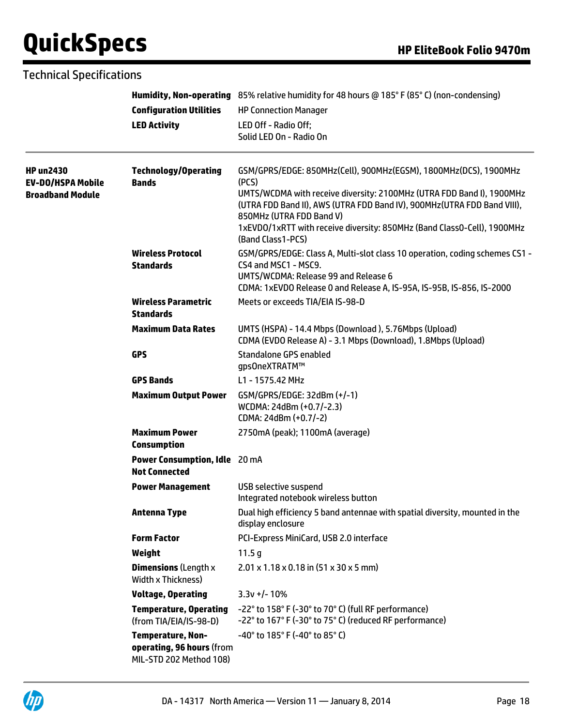|                                                                  | <b>Configuration Utilities</b><br><b>LED Activity</b>                            | Humidity, Non-operating 85% relative humidity for 48 hours @ 185° F (85° C) (non-condensing)<br><b>HP Connection Manager</b><br>LED Off - Radio Off;<br>Solid LED On - Radio On                                                                                                                                                                            |
|------------------------------------------------------------------|----------------------------------------------------------------------------------|------------------------------------------------------------------------------------------------------------------------------------------------------------------------------------------------------------------------------------------------------------------------------------------------------------------------------------------------------------|
| <b>HP un2430</b><br>EV-DO/HSPA Mobile<br><b>Broadband Module</b> | <b>Technology/Operating</b><br><b>Bands</b>                                      | GSM/GPRS/EDGE: 850MHz(Cell), 900MHz(EGSM), 1800MHz(DCS), 1900MHz<br>(PCS)<br>UMTS/WCDMA with receive diversity: 2100MHz (UTRA FDD Band I), 1900MHz<br>(UTRA FDD Band II), AWS (UTRA FDD Band IV), 900MHz (UTRA FDD Band VIII),<br>850MHz (UTRA FDD Band V)<br>1xEVD0/1xRTT with receive diversity: 850MHz (Band Class0-Cell), 1900MHz<br>(Band Class1-PCS) |
|                                                                  | <b>Wireless Protocol</b><br><b>Standards</b>                                     | GSM/GPRS/EDGE: Class A, Multi-slot class 10 operation, coding schemes CS1 -<br>CS4 and MSC1 - MSC9.<br>UMTS/WCDMA: Release 99 and Release 6<br>CDMA: 1xEVDO Release 0 and Release A, IS-95A, IS-95B, IS-856, IS-2000                                                                                                                                       |
|                                                                  | <b>Wireless Parametric</b><br><b>Standards</b>                                   | Meets or exceeds TIA/EIA IS-98-D                                                                                                                                                                                                                                                                                                                           |
|                                                                  | <b>Maximum Data Rates</b>                                                        | UMTS (HSPA) - 14.4 Mbps (Download), 5.76Mbps (Upload)<br>CDMA (EVDO Release A) - 3.1 Mbps (Download), 1.8Mbps (Upload)                                                                                                                                                                                                                                     |
|                                                                  | <b>GPS</b>                                                                       | Standalone GPS enabled<br>gps0neXTRATM™                                                                                                                                                                                                                                                                                                                    |
|                                                                  | <b>GPS Bands</b>                                                                 | L1 - 1575.42 MHz                                                                                                                                                                                                                                                                                                                                           |
|                                                                  | <b>Maximum Output Power</b>                                                      | GSM/GPRS/EDGE: 32dBm (+/-1)<br>WCDMA: 24dBm (+0.7/-2.3)<br>CDMA: 24dBm (+0.7/-2)                                                                                                                                                                                                                                                                           |
|                                                                  | <b>Maximum Power</b><br><b>Consumption</b>                                       | 2750mA (peak); 1100mA (average)                                                                                                                                                                                                                                                                                                                            |
|                                                                  | Power Consumption, Idle 20 mA<br><b>Not Connected</b>                            |                                                                                                                                                                                                                                                                                                                                                            |
|                                                                  | <b>Power Management</b>                                                          | USB selective suspend<br>Integrated notebook wireless button                                                                                                                                                                                                                                                                                               |
|                                                                  | Antenna Type                                                                     | Dual high efficiency 5 band antennae with spatial diversity, mounted in the<br>display enclosure                                                                                                                                                                                                                                                           |
|                                                                  | <b>Form Factor</b>                                                               | PCI-Express MiniCard, USB 2.0 interface                                                                                                                                                                                                                                                                                                                    |
|                                                                  | Weight                                                                           | 11.5 <sub>g</sub>                                                                                                                                                                                                                                                                                                                                          |
|                                                                  | <b>Dimensions (Length x</b><br>Width x Thickness)                                | $2.01 \times 1.18 \times 0.18$ in $(51 \times 30 \times 5$ mm)                                                                                                                                                                                                                                                                                             |
|                                                                  | <b>Voltage, Operating</b>                                                        | $3.3v +/- 10%$                                                                                                                                                                                                                                                                                                                                             |
|                                                                  | <b>Temperature, Operating</b><br>(from TIA/EIA/IS-98-D)                          | -22° to 158° F (-30° to 70° C) (full RF performance)<br>-22° to 167° F (-30° to 75° C) (reduced RF performance)                                                                                                                                                                                                                                            |
|                                                                  | <b>Temperature, Non-</b><br>operating, 96 hours (from<br>MIL-STD 202 Method 108) | $-40^{\circ}$ to 185 $^{\circ}$ F (-40 $^{\circ}$ to 85 $^{\circ}$ C)                                                                                                                                                                                                                                                                                      |

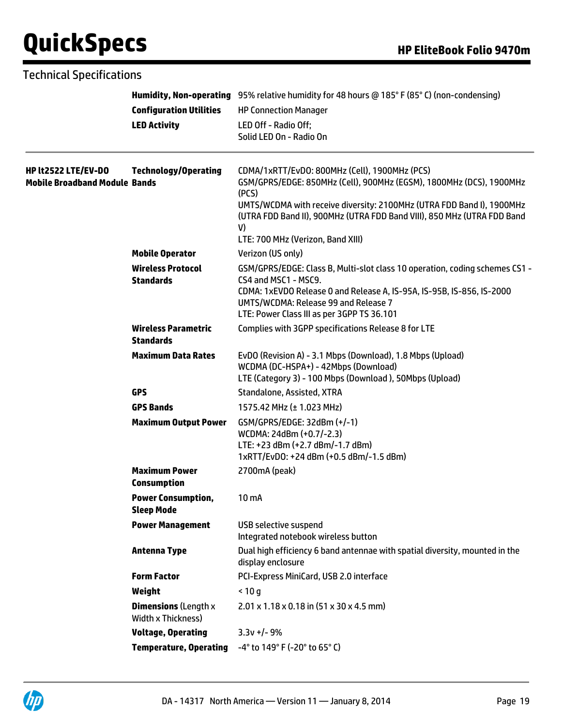|                                                                    | <b>Configuration Utilities</b><br><b>LED Activity</b> | Humidity, Non-operating 95% relative humidity for 48 hours @ 185° F (85° C) (non-condensing)<br><b>HP Connection Manager</b><br>LED Off - Radio Off;<br>Solid LED On - Radio On                                                                                                                                              |
|--------------------------------------------------------------------|-------------------------------------------------------|------------------------------------------------------------------------------------------------------------------------------------------------------------------------------------------------------------------------------------------------------------------------------------------------------------------------------|
| <b>HP lt2522 LTE/EV-DO</b><br><b>Mobile Broadband Module Bands</b> | <b>Technology/Operating</b>                           | CDMA/1xRTT/EvDO: 800MHz (Cell), 1900MHz (PCS)<br>GSM/GPRS/EDGE: 850MHz (Cell), 900MHz (EGSM), 1800MHz (DCS), 1900MHz<br>(PCS)<br>UMTS/WCDMA with receive diversity: 2100MHz (UTRA FDD Band I), 1900MHz<br>(UTRA FDD Band II), 900MHz (UTRA FDD Band VIII), 850 MHz (UTRA FDD Band<br>V)<br>LTE: 700 MHz (Verizon, Band XIII) |
|                                                                    | <b>Mobile Operator</b>                                | Verizon (US only)                                                                                                                                                                                                                                                                                                            |
|                                                                    | <b>Wireless Protocol</b><br><b>Standards</b>          | GSM/GPRS/EDGE: Class B, Multi-slot class 10 operation, coding schemes CS1 -<br>CS4 and MSC1 - MSC9.<br>CDMA: 1xEVDO Release 0 and Release A, IS-95A, IS-95B, IS-856, IS-2000<br>UMTS/WCDMA: Release 99 and Release 7<br>LTE: Power Class III as per 3GPP TS 36.101                                                           |
|                                                                    | <b>Wireless Parametric</b><br><b>Standards</b>        | Complies with 3GPP specifications Release 8 for LTE                                                                                                                                                                                                                                                                          |
|                                                                    | <b>Maximum Data Rates</b>                             | EvDO (Revision A) - 3.1 Mbps (Download), 1.8 Mbps (Upload)<br>WCDMA (DC-HSPA+) - 42Mbps (Download)<br>LTE (Category 3) - 100 Mbps (Download), 50Mbps (Upload)                                                                                                                                                                |
|                                                                    | <b>GPS</b>                                            | Standalone, Assisted, XTRA                                                                                                                                                                                                                                                                                                   |
|                                                                    | <b>GPS Bands</b>                                      | 1575.42 MHz (± 1.023 MHz)                                                                                                                                                                                                                                                                                                    |
|                                                                    | <b>Maximum Output Power</b>                           | GSM/GPRS/EDGE: 32dBm (+/-1)<br>WCDMA: 24dBm (+0.7/-2.3)<br>LTE: +23 dBm (+2.7 dBm/-1.7 dBm)<br>1xRTT/EvD0: +24 dBm (+0.5 dBm/-1.5 dBm)                                                                                                                                                                                       |
|                                                                    | <b>Maximum Power</b><br><b>Consumption</b>            | 2700mA (peak)                                                                                                                                                                                                                                                                                                                |
|                                                                    | <b>Power Consumption,</b><br><b>Sleep Mode</b>        | 10 <sub>m</sub> A                                                                                                                                                                                                                                                                                                            |
|                                                                    | <b>Power Management</b>                               | <b>USB selective suspend</b><br>Integrated notebook wireless button                                                                                                                                                                                                                                                          |
|                                                                    | <b>Antenna Type</b>                                   | Dual high efficiency 6 band antennae with spatial diversity, mounted in the<br>display enclosure                                                                                                                                                                                                                             |
|                                                                    | <b>Form Factor</b>                                    | PCI-Express MiniCard, USB 2.0 interface                                                                                                                                                                                                                                                                                      |
|                                                                    | Weight                                                | < 10 g                                                                                                                                                                                                                                                                                                                       |
|                                                                    | <b>Dimensions (Length x</b><br>Width x Thickness)     | $2.01 \times 1.18 \times 0.18$ in (51 x 30 x 4.5 mm)                                                                                                                                                                                                                                                                         |
|                                                                    | <b>Voltage, Operating</b>                             | $3.3v + -9%$                                                                                                                                                                                                                                                                                                                 |
|                                                                    | <b>Temperature, Operating</b>                         | -4° to 149° F (-20° to 65° C)                                                                                                                                                                                                                                                                                                |

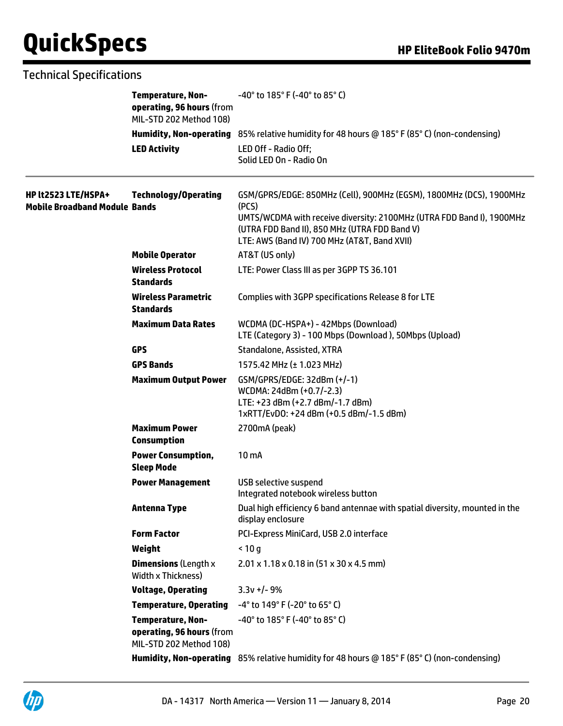| <b>Technical Specifications</b>                             |                                                                                  |                                                                                                                                                                                                                                                        |
|-------------------------------------------------------------|----------------------------------------------------------------------------------|--------------------------------------------------------------------------------------------------------------------------------------------------------------------------------------------------------------------------------------------------------|
|                                                             | <b>Temperature, Non-</b><br>operating, 96 hours (from<br>MIL-STD 202 Method 108) | $-40^{\circ}$ to 185 $^{\circ}$ F (-40 $^{\circ}$ to 85 $^{\circ}$ C)                                                                                                                                                                                  |
|                                                             |                                                                                  | Humidity, Non-operating 85% relative humidity for 48 hours @ 185° F (85° C) (non-condensing)                                                                                                                                                           |
|                                                             | <b>LED Activity</b>                                                              | LED Off - Radio Off;<br>Solid LED On - Radio On                                                                                                                                                                                                        |
| HP lt2523 LTE/HSPA+<br><b>Mobile Broadband Module Bands</b> | <b>Technology/Operating</b>                                                      | GSM/GPRS/EDGE: 850MHz (Cell), 900MHz (EGSM), 1800MHz (DCS), 1900MHz<br>(PCS)<br>UMTS/WCDMA with receive diversity: 2100MHz (UTRA FDD Band I), 1900MHz<br>(UTRA FDD Band II), 850 MHz (UTRA FDD Band V)<br>LTE: AWS (Band IV) 700 MHz (AT&T, Band XVII) |
|                                                             | <b>Mobile Operator</b>                                                           | AT&T (US only)                                                                                                                                                                                                                                         |
|                                                             | <b>Wireless Protocol</b><br><b>Standards</b>                                     | LTE: Power Class III as per 3GPP TS 36.101                                                                                                                                                                                                             |
|                                                             | <b>Wireless Parametric</b><br><b>Standards</b>                                   | Complies with 3GPP specifications Release 8 for LTE                                                                                                                                                                                                    |
|                                                             | <b>Maximum Data Rates</b>                                                        | WCDMA (DC-HSPA+) - 42Mbps (Download)<br>LTE (Category 3) - 100 Mbps (Download), 50Mbps (Upload)                                                                                                                                                        |
|                                                             | <b>GPS</b>                                                                       | Standalone, Assisted, XTRA                                                                                                                                                                                                                             |
|                                                             | <b>GPS Bands</b>                                                                 | 1575.42 MHz (± 1.023 MHz)                                                                                                                                                                                                                              |
|                                                             | <b>Maximum Output Power</b>                                                      | GSM/GPRS/EDGE: 32dBm (+/-1)<br>WCDMA: 24dBm (+0.7/-2.3)<br>LTE: +23 dBm (+2.7 dBm/-1.7 dBm)<br>1xRTT/EvD0: +24 dBm (+0.5 dBm/-1.5 dBm)                                                                                                                 |
|                                                             | <b>Maximum Power</b><br><b>Consumption</b>                                       | 2700mA (peak)                                                                                                                                                                                                                                          |
|                                                             | <b>Power Consumption,</b><br><b>Sleep Mode</b>                                   | 10 <sub>m</sub>                                                                                                                                                                                                                                        |
|                                                             | <b>Power Management</b>                                                          | <b>USB selective suspend</b><br>Integrated notebook wireless button                                                                                                                                                                                    |
|                                                             | <b>Antenna Type</b>                                                              | Dual high efficiency 6 band antennae with spatial diversity, mounted in the<br>display enclosure                                                                                                                                                       |
|                                                             | <b>Form Factor</b>                                                               | PCI-Express MiniCard, USB 2.0 interface                                                                                                                                                                                                                |
|                                                             | Weight                                                                           | < 10q                                                                                                                                                                                                                                                  |
|                                                             | <b>Dimensions (Length x</b><br>Width x Thickness)                                | 2.01 x 1.18 x 0.18 in (51 x 30 x 4.5 mm)                                                                                                                                                                                                               |
|                                                             | <b>Voltage, Operating</b>                                                        | $3.3v +/- 9%$                                                                                                                                                                                                                                          |
|                                                             | <b>Temperature, Operating</b>                                                    | -4° to 149° F (-20° to 65° C)                                                                                                                                                                                                                          |
|                                                             | <b>Temperature, Non-</b><br>operating, 96 hours (from<br>MIL-STD 202 Method 108) | $-40^{\circ}$ to 185 $^{\circ}$ F (-40 $^{\circ}$ to 85 $^{\circ}$ C)                                                                                                                                                                                  |

**Humidity, Non-operating** 85% relative humidity for 48 hours @ 185° F (85° C) (non-condensing)

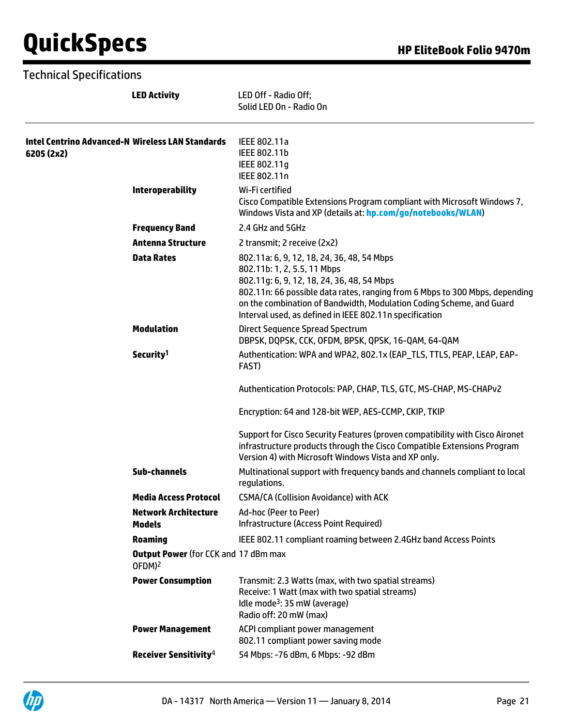|                                                                       | <b>LED Activity</b>                                               | LED Off - Radio Off;<br>Solid LED On - Radio On                                                                                                                                                                                                                                                                                           |
|-----------------------------------------------------------------------|-------------------------------------------------------------------|-------------------------------------------------------------------------------------------------------------------------------------------------------------------------------------------------------------------------------------------------------------------------------------------------------------------------------------------|
| <b>Intel Centrino Advanced-N Wireless LAN Standards</b><br>6205 (2x2) |                                                                   | IEEE 802.11a<br>IEEE 802.11b<br>IEEE 802.11g<br>IEEE 802.11n                                                                                                                                                                                                                                                                              |
|                                                                       | <b>Interoperability</b>                                           | Wi-Fi certified<br>Cisco Compatible Extensions Program compliant with Microsoft Windows 7,<br>Windows Vista and XP (details at: hp.com/go/notebooks/WLAN)                                                                                                                                                                                 |
|                                                                       | <b>Frequency Band</b>                                             | 2.4 GHz and 5GHz                                                                                                                                                                                                                                                                                                                          |
|                                                                       | <b>Antenna Structure</b>                                          | 2 transmit; 2 receive (2x2)                                                                                                                                                                                                                                                                                                               |
|                                                                       | <b>Data Rates</b>                                                 | 802.11a: 6, 9, 12, 18, 24, 36, 48, 54 Mbps<br>802.11b: 1, 2, 5.5, 11 Mbps<br>802.11g: 6, 9, 12, 18, 24, 36, 48, 54 Mbps<br>802.11n: 66 possible data rates, ranging from 6 Mbps to 300 Mbps, depending<br>on the combination of Bandwidth, Modulation Coding Scheme, and Guard<br>Interval used, as defined in IEEE 802.11n specification |
|                                                                       | <b>Modulation</b>                                                 | <b>Direct Sequence Spread Spectrum</b><br>DBPSK, DQPSK, CCK, OFDM, BPSK, QPSK, 16-QAM, 64-QAM                                                                                                                                                                                                                                             |
|                                                                       | Security <sup>1</sup>                                             | Authentication: WPA and WPA2, 802.1x (EAP_TLS, TTLS, PEAP, LEAP, EAP-<br>FAST)                                                                                                                                                                                                                                                            |
|                                                                       |                                                                   | Authentication Protocols: PAP, CHAP, TLS, GTC, MS-CHAP, MS-CHAPv2                                                                                                                                                                                                                                                                         |
|                                                                       |                                                                   | Encryption: 64 and 128-bit WEP, AES-CCMP, CKIP, TKIP                                                                                                                                                                                                                                                                                      |
|                                                                       |                                                                   | Support for Cisco Security Features (proven compatibility with Cisco Aironet<br>infrastructure products through the Cisco Compatible Extensions Program<br>Version 4) with Microsoft Windows Vista and XP only.                                                                                                                           |
|                                                                       | <b>Sub-channels</b>                                               | Multinational support with frequency bands and channels compliant to local<br>regulations.                                                                                                                                                                                                                                                |
|                                                                       | <b>Media Access Protocol</b>                                      | <b>CSMA/CA (Collision Avoidance) with ACK</b>                                                                                                                                                                                                                                                                                             |
|                                                                       | Network Architecture<br><b>Models</b>                             | Ad-hoc (Peer to Peer)<br>Infrastructure (Access Point Required)                                                                                                                                                                                                                                                                           |
|                                                                       | <b>Roaming</b>                                                    | IEEE 802.11 compliant roaming between 2.4GHz band Access Points                                                                                                                                                                                                                                                                           |
|                                                                       | <b>Output Power</b> (for CCK and 17 dBm max<br>OFDM) <sup>2</sup> |                                                                                                                                                                                                                                                                                                                                           |
|                                                                       | <b>Power Consumption</b>                                          | Transmit: 2.3 Watts (max, with two spatial streams)<br>Receive: 1 Watt (max with two spatial streams)<br>Idle mode <sup>3</sup> : 35 mW (average)<br>Radio off: 20 mW (max)                                                                                                                                                               |
|                                                                       | <b>Power Management</b>                                           | ACPI compliant power management<br>802.11 compliant power saving mode                                                                                                                                                                                                                                                                     |
|                                                                       | Receiver Sensitivity <sup>4</sup>                                 | 54 Mbps: -76 dBm, 6 Mbps: -92 dBm                                                                                                                                                                                                                                                                                                         |

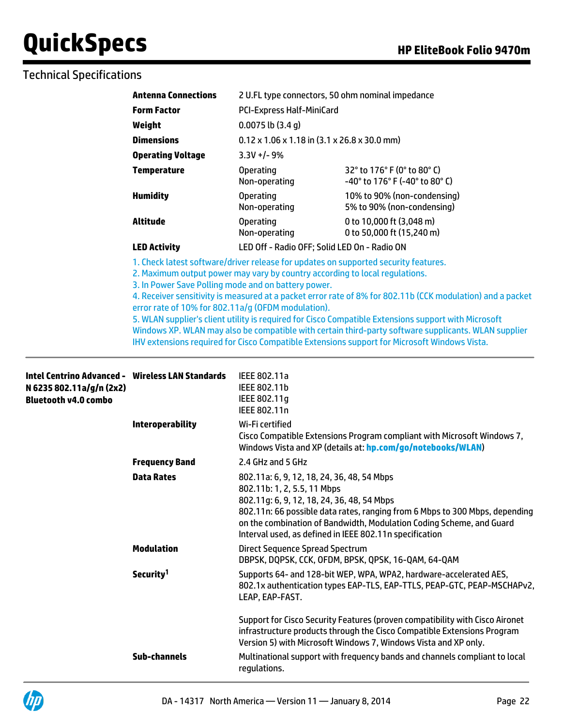# Technical Specifications

| <b>Antenna Connections</b> |                                                                      | 2 U.FL type connectors, 50 ohm nominal impedance                       |
|----------------------------|----------------------------------------------------------------------|------------------------------------------------------------------------|
| <b>Form Factor</b>         | <b>PCI-Express Half-MiniCard</b>                                     |                                                                        |
| Weight                     | $0.0075$ lb $(3.4 g)$                                                |                                                                        |
| <b>Dimensions</b>          | $0.12 \times 1.06 \times 1.18$ in $(3.1 \times 26.8 \times 30.0$ mm) |                                                                        |
| <b>Operating Voltage</b>   | $3.3V +/- 9%$                                                        |                                                                        |
| <b>Temperature</b>         | <b>Operating</b><br>Non-operating                                    | 32° to 176° F (0° to 80° C)<br>$-40^{\circ}$ to 176° F (-40° to 80° C) |
| <b>Humidity</b>            | <b>Operating</b><br>Non-operating                                    | 10% to 90% (non-condensing)<br>5% to 90% (non-condensing)              |
| Altitude                   | <b>Operating</b><br>Non-operating                                    | 0 to 10,000 ft (3,048 m)<br>0 to 50,000 ft (15,240 m)                  |
| <b>LED Activity</b>        | LED Off - Radio OFF; Solid LED On - Radio ON                         |                                                                        |

1. Check latest software/driver release for updates on supported security features.

2. Maximum output power may vary by country according to local regulations.

3. In Power Save Polling mode and on battery power.

4. Receiver sensitivity is measured at a packet error rate of 8% for 802.11b (CCK modulation) and a packet error rate of 10% for 802.11a/g (OFDM modulation).

5. WLAN supplier's client utility is required for Cisco Compatible Extensions support with Microsoft Windows XP. WLAN may also be compatible with certain third-party software supplicants. WLAN supplier IHV extensions required for Cisco Compatible Extensions support for Microsoft Windows Vista.

| Intel Centrino Advanced -    Wireless LAN Standards<br>N 6235 802.11a/g/n (2x2)<br>Bluetooth v4.0 combo |                         | IEEE 802.11a<br>IEEE 802.11b<br>IEEE 802.11g<br>IEEE 802.11n                                                                                                                                                                                                                                                                              |
|---------------------------------------------------------------------------------------------------------|-------------------------|-------------------------------------------------------------------------------------------------------------------------------------------------------------------------------------------------------------------------------------------------------------------------------------------------------------------------------------------|
|                                                                                                         | <b>Interoperability</b> | Wi-Fi certified<br>Cisco Compatible Extensions Program compliant with Microsoft Windows 7,<br>Windows Vista and XP (details at: hp.com/go/notebooks/WLAN)                                                                                                                                                                                 |
|                                                                                                         | <b>Frequency Band</b>   | 2.4 GHz and 5 GHz                                                                                                                                                                                                                                                                                                                         |
|                                                                                                         | <b>Data Rates</b>       | 802.11a: 6, 9, 12, 18, 24, 36, 48, 54 Mbps<br>802.11b: 1, 2, 5.5, 11 Mbps<br>802.11g: 6, 9, 12, 18, 24, 36, 48, 54 Mbps<br>802.11n: 66 possible data rates, ranging from 6 Mbps to 300 Mbps, depending<br>on the combination of Bandwidth, Modulation Coding Scheme, and Guard<br>Interval used, as defined in IEEE 802.11n specification |
|                                                                                                         | <b>Modulation</b>       | Direct Sequence Spread Spectrum<br>DBPSK, DQPSK, CCK, OFDM, BPSK, QPSK, 16-QAM, 64-QAM                                                                                                                                                                                                                                                    |
|                                                                                                         | Security <sup>1</sup>   | Supports 64- and 128-bit WEP, WPA, WPA2, hardware-accelerated AES,<br>802.1x authentication types EAP-TLS, EAP-TTLS, PEAP-GTC, PEAP-MSCHAPv2,<br>LEAP, EAP-FAST.                                                                                                                                                                          |
|                                                                                                         |                         | Support for Cisco Security Features (proven compatibility with Cisco Aironet<br>infrastructure products through the Cisco Compatible Extensions Program<br>Version 5) with Microsoft Windows 7, Windows Vista and XP only.                                                                                                                |
|                                                                                                         | Sub-channels            | Multinational support with frequency bands and channels compliant to local<br>regulations.                                                                                                                                                                                                                                                |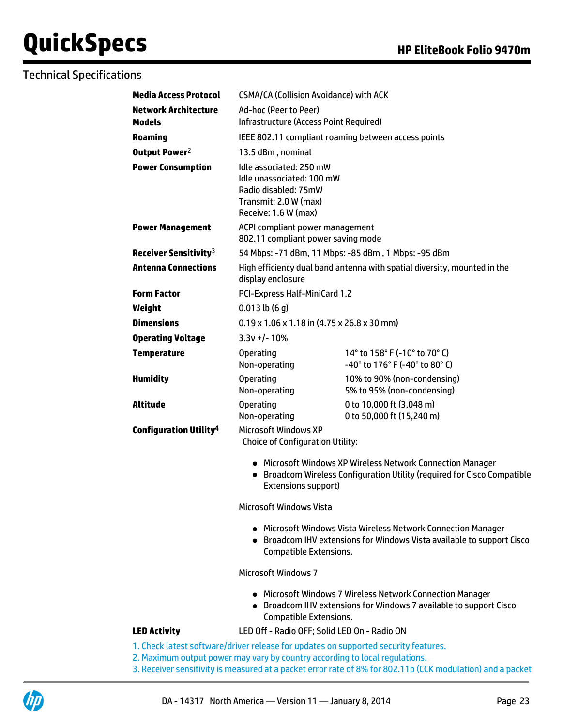# Technical Specifications

| <b>Media Access Protocol</b>                 | <b>CSMA/CA (Collision Avoidance) with ACK</b>                                                                                                                            |                                                                                                                                        |  |
|----------------------------------------------|--------------------------------------------------------------------------------------------------------------------------------------------------------------------------|----------------------------------------------------------------------------------------------------------------------------------------|--|
| <b>Network Architecture</b><br><b>Models</b> | Ad-hoc (Peer to Peer)<br>Infrastructure (Access Point Required)                                                                                                          |                                                                                                                                        |  |
| <b>Roaming</b>                               |                                                                                                                                                                          | IEEE 802.11 compliant roaming between access points                                                                                    |  |
| Output Power <sup>2</sup>                    | 13.5 dBm, nominal                                                                                                                                                        |                                                                                                                                        |  |
| <b>Power Consumption</b>                     | Idle associated: 250 mW<br>Idle unassociated: 100 mW<br>Radio disabled: 75mW<br>Transmit: 2.0 W (max)<br>Receive: 1.6 W (max)                                            |                                                                                                                                        |  |
| <b>Power Management</b>                      | ACPI compliant power management<br>802.11 compliant power saving mode                                                                                                    |                                                                                                                                        |  |
| Receiver Sensitivity <sup>3</sup>            |                                                                                                                                                                          | 54 Mbps: -71 dBm, 11 Mbps: -85 dBm, 1 Mbps: -95 dBm                                                                                    |  |
| <b>Antenna Connections</b>                   | display enclosure                                                                                                                                                        | High efficiency dual band antenna with spatial diversity, mounted in the                                                               |  |
| <b>Form Factor</b>                           |                                                                                                                                                                          | PCI-Express Half-MiniCard 1.2                                                                                                          |  |
| Weight                                       | $0.013$ lb $(6q)$                                                                                                                                                        |                                                                                                                                        |  |
| <b>Dimensions</b>                            | $0.19 \times 1.06 \times 1.18$ in (4.75 x 26.8 x 30 mm)                                                                                                                  |                                                                                                                                        |  |
| <b>Operating Voltage</b>                     | $3.3v +/- 10%$                                                                                                                                                           |                                                                                                                                        |  |
| <b>Temperature</b>                           | <b>Operating</b><br>Non-operating                                                                                                                                        | 14° to 158° F (-10° to 70° C)<br>-40° to 176° F (-40° to 80° C)                                                                        |  |
| <b>Humidity</b>                              | <b>Operating</b><br>Non-operating                                                                                                                                        | 10% to 90% (non-condensing)<br>5% to 95% (non-condensing)                                                                              |  |
| Altitude                                     | <b>Operating</b><br>Non-operating                                                                                                                                        | 0 to 10,000 ft (3,048 m)<br>0 to 50,000 ft (15,240 m)                                                                                  |  |
| <b>Configuration Utility<sup>4</sup></b>     | <b>Microsoft Windows XP</b><br><b>Choice of Configuration Utility:</b>                                                                                                   |                                                                                                                                        |  |
|                                              | Extensions support)                                                                                                                                                      | • Microsoft Windows XP Wireless Network Connection Manager<br>• Broadcom Wireless Configuration Utility (required for Cisco Compatible |  |
|                                              | <b>Microsoft Windows Vista</b>                                                                                                                                           |                                                                                                                                        |  |
|                                              | • Microsoft Windows Vista Wireless Network Connection Manager<br>• Broadcom IHV extensions for Windows Vista available to support Cisco<br><b>Compatible Extensions.</b> |                                                                                                                                        |  |
|                                              | <b>Microsoft Windows 7</b>                                                                                                                                               |                                                                                                                                        |  |
|                                              | <b>Compatible Extensions.</b>                                                                                                                                            | • Microsoft Windows 7 Wireless Network Connection Manager<br>• Broadcom IHV extensions for Windows 7 available to support Cisco        |  |
| <b>LED Activity</b>                          |                                                                                                                                                                          | LED Off - Radio OFF; Solid LED On - Radio ON                                                                                           |  |
|                                              |                                                                                                                                                                          |                                                                                                                                        |  |

#### 1. Check latest software/driver release for updates on supported security features.

- 2. Maximum output power may vary by country according to local regulations.
- 3. Receiver sensitivity is measured at a packet error rate of 8% for 802.11b (CCK modulation) and a packet

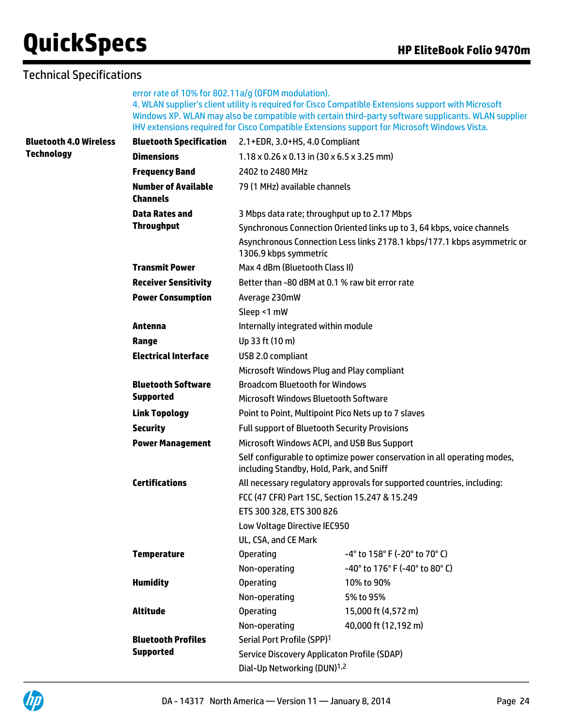## Technical Specifications

error rate of 10% for 802.11a/g (OFDM modulation). 4. WLAN supplier's client utility is required for Cisco Compatible Extensions support with Microsoft Windows XP. WLAN may also be compatible with certain third-party software supplicants. WLAN supplier IHV extensions required for Cisco Compatible Extensions support for Microsoft Windows Vista.

| <b>Bluetooth 4.0 Wireless</b> | <b>Bluetooth Specification</b>                | 2.1+EDR, 3.0+HS, 4.0 Compliant                                                                   |                                                                          |  |
|-------------------------------|-----------------------------------------------|--------------------------------------------------------------------------------------------------|--------------------------------------------------------------------------|--|
| <b>Technology</b>             | <b>Dimensions</b>                             | $1.18 \times 0.26 \times 0.13$ in (30 x 6.5 x 3.25 mm)                                           |                                                                          |  |
|                               | <b>Frequency Band</b>                         | 2402 to 2480 MHz                                                                                 |                                                                          |  |
|                               | <b>Number of Available</b><br><b>Channels</b> | 79 (1 MHz) available channels                                                                    |                                                                          |  |
|                               | <b>Data Rates and</b>                         | 3 Mbps data rate; throughput up to 2.17 Mbps                                                     |                                                                          |  |
|                               | <b>Throughput</b>                             |                                                                                                  | Synchronous Connection Oriented links up to 3, 64 kbps, voice channels   |  |
|                               |                                               | Asynchronous Connection Less links 2178.1 kbps/177.1 kbps asymmetric or<br>1306.9 kbps symmetric |                                                                          |  |
|                               | <b>Transmit Power</b>                         | Max 4 dBm (Bluetooth Class II)                                                                   |                                                                          |  |
|                               | <b>Receiver Sensitivity</b>                   | Better than -80 dBM at 0.1 % raw bit error rate                                                  |                                                                          |  |
|                               | <b>Power Consumption</b>                      | Average 230mW                                                                                    |                                                                          |  |
|                               |                                               | Sleep <1 mW                                                                                      |                                                                          |  |
|                               | Antenna                                       | Internally integrated within module                                                              |                                                                          |  |
|                               | Range                                         | Up 33 ft (10 m)                                                                                  |                                                                          |  |
|                               | <b>Electrical Interface</b>                   | USB 2.0 compliant<br>Microsoft Windows Plug and Play compliant                                   |                                                                          |  |
|                               |                                               |                                                                                                  |                                                                          |  |
|                               | <b>Bluetooth Software</b>                     | <b>Broadcom Bluetooth for Windows</b>                                                            |                                                                          |  |
|                               | <b>Supported</b>                              | Microsoft Windows Bluetooth Software                                                             |                                                                          |  |
|                               | <b>Link Topology</b>                          | Point to Point, Multipoint Pico Nets up to 7 slaves                                              |                                                                          |  |
|                               | <b>Security</b>                               | <b>Full support of Bluetooth Security Provisions</b>                                             |                                                                          |  |
|                               | <b>Power Management</b>                       |                                                                                                  | Microsoft Windows ACPI, and USB Bus Support                              |  |
|                               |                                               | including Standby, Hold, Park, and Sniff                                                         | Self configurable to optimize power conservation in all operating modes, |  |
|                               | <b>Certifications</b>                         |                                                                                                  | All necessary regulatory approvals for supported countries, including:   |  |
|                               |                                               |                                                                                                  | FCC (47 CFR) Part 15C, Section 15.247 & 15.249                           |  |
|                               |                                               | ETS 300 328, ETS 300 826                                                                         |                                                                          |  |
|                               |                                               | Low Voltage Directive IEC950                                                                     |                                                                          |  |
|                               |                                               | UL, CSA, and CE Mark                                                                             |                                                                          |  |
|                               | <b>Temperature</b>                            | <b>Operating</b>                                                                                 | -4° to 158° F (-20° to 70° C)                                            |  |
|                               |                                               | Non-operating                                                                                    | -40° to 176° F (-40° to 80° C)                                           |  |
|                               | <b>Humidity</b>                               | <b>Operating</b>                                                                                 | 10% to 90%                                                               |  |
|                               |                                               | Non-operating                                                                                    | 5% to 95%                                                                |  |
|                               | <b>Altitude</b>                               | <b>Operating</b>                                                                                 | 15,000 ft (4,572 m)                                                      |  |
|                               |                                               | Non-operating                                                                                    | 40,000 ft (12,192 m)                                                     |  |
|                               | <b>Bluetooth Profiles</b>                     | Serial Port Profile (SPP) <sup>1</sup>                                                           |                                                                          |  |
|                               | <b>Supported</b>                              |                                                                                                  | <b>Service Discovery Applicaton Profile (SDAP)</b>                       |  |
|                               |                                               | Dial-Up Networking (DUN) <sup>1,2</sup>                                                          |                                                                          |  |



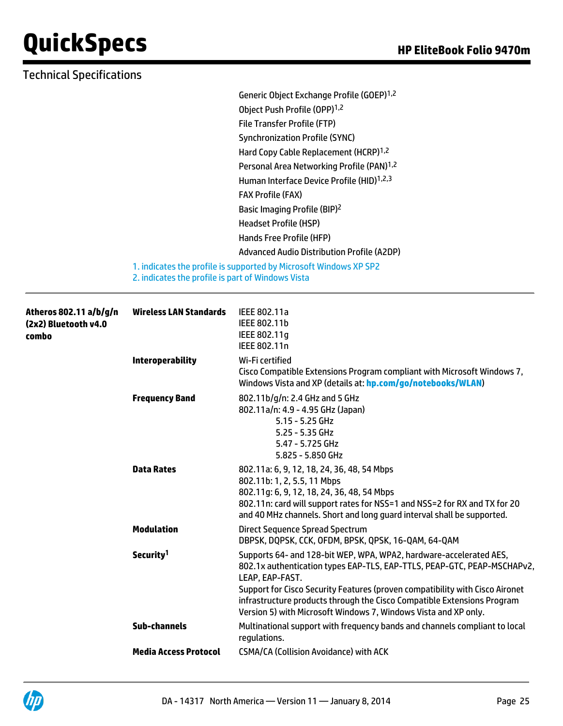| <b>Technical Specifications</b> |                                                   |                                                                                                                                                                                                                                                                                |
|---------------------------------|---------------------------------------------------|--------------------------------------------------------------------------------------------------------------------------------------------------------------------------------------------------------------------------------------------------------------------------------|
|                                 |                                                   | Generic Object Exchange Profile (GOEP) <sup>1,2</sup>                                                                                                                                                                                                                          |
|                                 |                                                   | Object Push Profile (OPP) <sup>1,2</sup>                                                                                                                                                                                                                                       |
|                                 |                                                   | File Transfer Profile (FTP)                                                                                                                                                                                                                                                    |
|                                 |                                                   | <b>Synchronization Profile (SYNC)</b>                                                                                                                                                                                                                                          |
|                                 |                                                   | Hard Copy Cable Replacement (HCRP) <sup>1,2</sup>                                                                                                                                                                                                                              |
|                                 |                                                   | Personal Area Networking Profile (PAN) <sup>1,2</sup>                                                                                                                                                                                                                          |
|                                 |                                                   | Human Interface Device Profile (HID) <sup>1,2,3</sup>                                                                                                                                                                                                                          |
|                                 |                                                   | <b>FAX Profile (FAX)</b>                                                                                                                                                                                                                                                       |
|                                 |                                                   | Basic Imaging Profile (BIP) <sup>2</sup>                                                                                                                                                                                                                                       |
|                                 |                                                   | <b>Headset Profile (HSP)</b>                                                                                                                                                                                                                                                   |
|                                 |                                                   | Hands Free Profile (HFP)                                                                                                                                                                                                                                                       |
|                                 |                                                   | Advanced Audio Distribution Profile (A2DP)                                                                                                                                                                                                                                     |
|                                 | 2. indicates the profile is part of Windows Vista | 1. indicates the profile is supported by Microsoft Windows XP SP2                                                                                                                                                                                                              |
| Atheros 802.11 a/b/g/n          | <b>Wireless LAN Standards</b>                     | IEEE 802.11a                                                                                                                                                                                                                                                                   |
| (2x2) Bluetooth v4.0            |                                                   | IEEE 802.11b                                                                                                                                                                                                                                                                   |
| combo                           |                                                   | IEEE 802.11g<br>IEEE 802.11n                                                                                                                                                                                                                                                   |
|                                 | <b>Interoperability</b>                           | Wi-Fi certified                                                                                                                                                                                                                                                                |
|                                 |                                                   | Cisco Compatible Extensions Program compliant with Microsoft Windows 7,<br>Windows Vista and XP (details at: hp.com/go/notebooks/WLAN)                                                                                                                                         |
|                                 | <b>Frequency Band</b>                             | 802.11b/g/n: 2.4 GHz and 5 GHz<br>802.11a/n: 4.9 - 4.95 GHz (Japan)<br>5.15 - 5.25 GHz<br>$5.25 - 5.35$ GHz<br>5.47 - 5.725 GHz<br>5.825 - 5.850 GHz                                                                                                                           |
|                                 | <b>Data Rates</b>                                 | 802.11a: 6, 9, 12, 18, 24, 36, 48, 54 Mbps<br>802.11b: 1, 2, 5.5, 11 Mbps<br>802.11g: 6, 9, 12, 18, 24, 36, 48, 54 Mbps<br>802.11n: card will support rates for NSS=1 and NSS=2 for RX and TX for 20<br>and 40 MHz channels. Short and long guard interval shall be supported. |
|                                 | <b>Modulation</b>                                 | <b>Direct Sequence Spread Spectrum</b>                                                                                                                                                                                                                                         |

|                              | DBPSK, DQPSK, CCK, OFDM, BPSK, QPSK, 16-QAM, 64-QAM                                                                                                                                                                                                                                                                                                                                            |
|------------------------------|------------------------------------------------------------------------------------------------------------------------------------------------------------------------------------------------------------------------------------------------------------------------------------------------------------------------------------------------------------------------------------------------|
| Security <sup>1</sup>        | Supports 64- and 128-bit WEP, WPA, WPA2, hardware-accelerated AES,<br>802.1x authentication types EAP-TLS, EAP-TTLS, PEAP-GTC, PEAP-MSCHAPv2,<br>LEAP. EAP-FAST.<br>Support for Cisco Security Features (proven compatibility with Cisco Aironet<br>infrastructure products through the Cisco Compatible Extensions Program<br>Version 5) with Microsoft Windows 7, Windows Vista and XP only. |
| Sub-channels                 | Multinational support with frequency bands and channels compliant to local<br>regulations.                                                                                                                                                                                                                                                                                                     |
| <b>Media Access Protocol</b> | CSMA/CA (Collision Avoidance) with ACK                                                                                                                                                                                                                                                                                                                                                         |

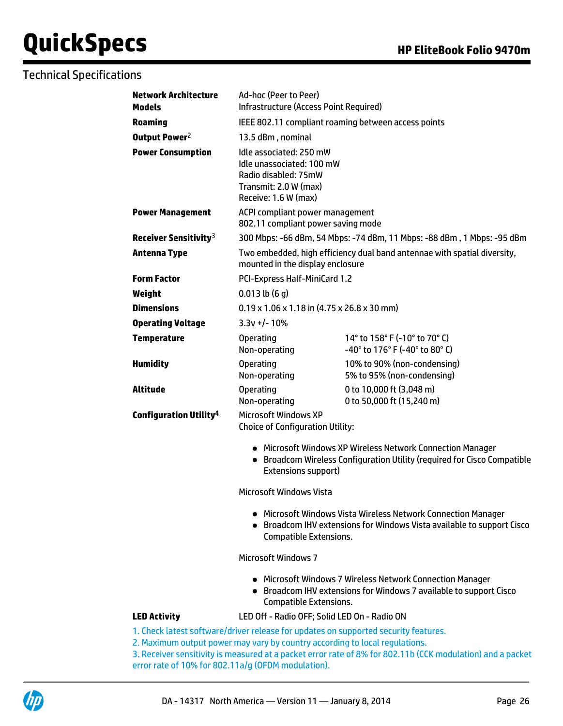# Technical Specifications

| <b>Network Architecture</b><br><b>Models</b> | Ad-hoc (Peer to Peer)<br>Infrastructure (Access Point Required)                                                                                                    |                                                                                                                                        |  |  |
|----------------------------------------------|--------------------------------------------------------------------------------------------------------------------------------------------------------------------|----------------------------------------------------------------------------------------------------------------------------------------|--|--|
| <b>Roaming</b>                               | IEEE 802.11 compliant roaming between access points                                                                                                                |                                                                                                                                        |  |  |
| Output Power <sup>2</sup>                    | 13.5 dBm, nominal                                                                                                                                                  |                                                                                                                                        |  |  |
| <b>Power Consumption</b>                     | Idle associated: 250 mW<br>Idle unassociated: 100 mW<br>Radio disabled: 75mW<br>Transmit: 2.0 W (max)<br>Receive: 1.6 W (max)                                      |                                                                                                                                        |  |  |
| <b>Power Management</b>                      | ACPI compliant power management<br>802.11 compliant power saving mode                                                                                              |                                                                                                                                        |  |  |
| Receiver Sensitivity <sup>3</sup>            |                                                                                                                                                                    | 300 Mbps: -66 dBm, 54 Mbps: -74 dBm, 11 Mbps: -88 dBm, 1 Mbps: -95 dBm                                                                 |  |  |
| <b>Antenna Type</b>                          | mounted in the display enclosure                                                                                                                                   | Two embedded, high efficiency dual band antennae with spatial diversity,                                                               |  |  |
| <b>Form Factor</b>                           | PCI-Express Half-MiniCard 1.2                                                                                                                                      |                                                                                                                                        |  |  |
| Weight                                       | $0.013$ lb $(6q)$                                                                                                                                                  |                                                                                                                                        |  |  |
| <b>Dimensions</b>                            | $0.19 \times 1.06 \times 1.18$ in (4.75 x 26.8 x 30 mm)                                                                                                            |                                                                                                                                        |  |  |
| <b>Operating Voltage</b>                     | $3.3v + 1 - 10%$                                                                                                                                                   |                                                                                                                                        |  |  |
| <b>Temperature</b>                           | <b>Operating</b><br>Non-operating                                                                                                                                  | 14° to 158° F (-10° to 70° C)<br>-40° to 176° F (-40° to 80° C)                                                                        |  |  |
| <b>Humidity</b>                              | <b>Operating</b><br>Non-operating                                                                                                                                  | 10% to 90% (non-condensing)<br>5% to 95% (non-condensing)                                                                              |  |  |
| <b>Altitude</b>                              | <b>Operating</b><br>Non-operating                                                                                                                                  | 0 to 10,000 ft (3,048 m)<br>0 to 50,000 ft (15,240 m)                                                                                  |  |  |
| <b>Configuration Utility<sup>4</sup></b>     | <b>Microsoft Windows XP</b><br><b>Choice of Configuration Utility:</b>                                                                                             |                                                                                                                                        |  |  |
|                                              | Extensions support)                                                                                                                                                | • Microsoft Windows XP Wireless Network Connection Manager<br>• Broadcom Wireless Configuration Utility (required for Cisco Compatible |  |  |
|                                              | <b>Microsoft Windows Vista</b>                                                                                                                                     |                                                                                                                                        |  |  |
|                                              | <b>Compatible Extensions.</b>                                                                                                                                      | Microsoft Windows Vista Wireless Network Connection Manager<br>Broadcom IHV extensions for Windows Vista available to support Cisco    |  |  |
|                                              | <b>Microsoft Windows 7</b>                                                                                                                                         |                                                                                                                                        |  |  |
|                                              | <b>Compatible Extensions.</b>                                                                                                                                      | • Microsoft Windows 7 Wireless Network Connection Manager<br>• Broadcom IHV extensions for Windows 7 available to support Cisco        |  |  |
| <b>LED Activity</b>                          | LED Off - Radio OFF; Solid LED On - Radio ON                                                                                                                       |                                                                                                                                        |  |  |
|                                              | 1. Check latest software/driver release for updates on supported security features.<br>2. Maximum output power may vary by country according to local regulations. |                                                                                                                                        |  |  |

3. Receiver sensitivity is measured at a packet error rate of 8% for 802.11b (CCK modulation) and a packet error rate of 10% for 802.11a/g (OFDM modulation).

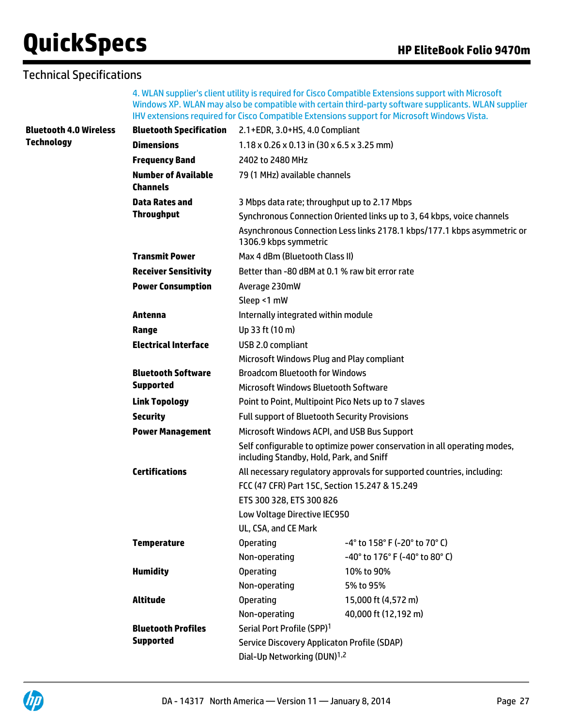# Technical Specifications

4. WLAN supplier's client utility is required for Cisco Compatible Extensions support with Microsoft Windows XP. WLAN may also be compatible with certain third-party software supplicants. WLAN supplier IHV extensions required for Cisco Compatible Extensions support for Microsoft Windows Vista.

| <b>Bluetooth 4.0 Wireless</b> | <b>Bluetooth Specification</b>                | 2.1+EDR, 3.0+HS, 4.0 Compliant                                                                                       |                                                                        |  |  |
|-------------------------------|-----------------------------------------------|----------------------------------------------------------------------------------------------------------------------|------------------------------------------------------------------------|--|--|
| <b>Technology</b>             | <b>Dimensions</b>                             | $1.18 \times 0.26 \times 0.13$ in (30 x 6.5 x 3.25 mm)                                                               |                                                                        |  |  |
|                               | <b>Frequency Band</b>                         | 2402 to 2480 MHz                                                                                                     |                                                                        |  |  |
|                               | <b>Number of Available</b><br><b>Channels</b> | 79 (1 MHz) available channels                                                                                        |                                                                        |  |  |
|                               | <b>Data Rates and</b>                         | 3 Mbps data rate; throughput up to 2.17 Mbps                                                                         |                                                                        |  |  |
|                               | <b>Throughput</b>                             |                                                                                                                      | Synchronous Connection Oriented links up to 3, 64 kbps, voice channels |  |  |
|                               |                                               | Asynchronous Connection Less links 2178.1 kbps/177.1 kbps asymmetric or<br>1306.9 kbps symmetric                     |                                                                        |  |  |
|                               | <b>Transmit Power</b>                         |                                                                                                                      | Max 4 dBm (Bluetooth Class II)                                         |  |  |
|                               | <b>Receiver Sensitivity</b>                   | Better than -80 dBM at 0.1 % raw bit error rate                                                                      |                                                                        |  |  |
|                               | <b>Power Consumption</b>                      | Average 230mW                                                                                                        |                                                                        |  |  |
|                               |                                               | Sleep <1 mW                                                                                                          |                                                                        |  |  |
|                               | Antenna                                       | Internally integrated within module                                                                                  |                                                                        |  |  |
|                               | Range                                         | Up 33 ft (10 m)                                                                                                      |                                                                        |  |  |
|                               | <b>Electrical Interface</b>                   | USB 2.0 compliant<br>Microsoft Windows Plug and Play compliant                                                       |                                                                        |  |  |
|                               |                                               |                                                                                                                      |                                                                        |  |  |
|                               | <b>Bluetooth Software</b>                     | <b>Broadcom Bluetooth for Windows</b>                                                                                |                                                                        |  |  |
|                               | <b>Supported</b>                              | Microsoft Windows Bluetooth Software                                                                                 |                                                                        |  |  |
|                               | <b>Link Topology</b>                          | Point to Point, Multipoint Pico Nets up to 7 slaves                                                                  |                                                                        |  |  |
|                               | <b>Security</b>                               | <b>Full support of Bluetooth Security Provisions</b>                                                                 |                                                                        |  |  |
|                               | <b>Power Management</b>                       | Microsoft Windows ACPI, and USB Bus Support                                                                          |                                                                        |  |  |
|                               |                                               | Self configurable to optimize power conservation in all operating modes,<br>including Standby, Hold, Park, and Sniff |                                                                        |  |  |
|                               | <b>Certifications</b>                         |                                                                                                                      | All necessary regulatory approvals for supported countries, including: |  |  |
|                               |                                               | FCC (47 CFR) Part 15C, Section 15.247 & 15.249                                                                       |                                                                        |  |  |
|                               |                                               | ETS 300 328, ETS 300 826                                                                                             |                                                                        |  |  |
|                               |                                               | Low Voltage Directive IEC950                                                                                         |                                                                        |  |  |
|                               |                                               | UL, CSA, and CE Mark                                                                                                 |                                                                        |  |  |
|                               | <b>Temperature</b>                            | <b>Operating</b>                                                                                                     | $-4^{\circ}$ to 158° F (-20° to 70° C)                                 |  |  |
|                               |                                               | Non-operating                                                                                                        | -40° to 176° F (-40° to 80° C)                                         |  |  |
|                               | <b>Humidity</b>                               | <b>Operating</b>                                                                                                     | 10% to 90%                                                             |  |  |
|                               |                                               | Non-operating                                                                                                        | 5% to 95%                                                              |  |  |
|                               | <b>Altitude</b>                               | <b>Operating</b>                                                                                                     | 15,000 ft (4,572 m)                                                    |  |  |
|                               |                                               | Non-operating                                                                                                        | 40,000 ft (12,192 m)                                                   |  |  |
|                               | <b>Bluetooth Profiles</b>                     | Serial Port Profile (SPP) <sup>1</sup>                                                                               |                                                                        |  |  |
|                               | <b>Supported</b>                              | <b>Service Discovery Applicaton Profile (SDAP)</b>                                                                   |                                                                        |  |  |
|                               | Dial-Up Networking (DUN) <sup>1,2</sup>       |                                                                                                                      |                                                                        |  |  |

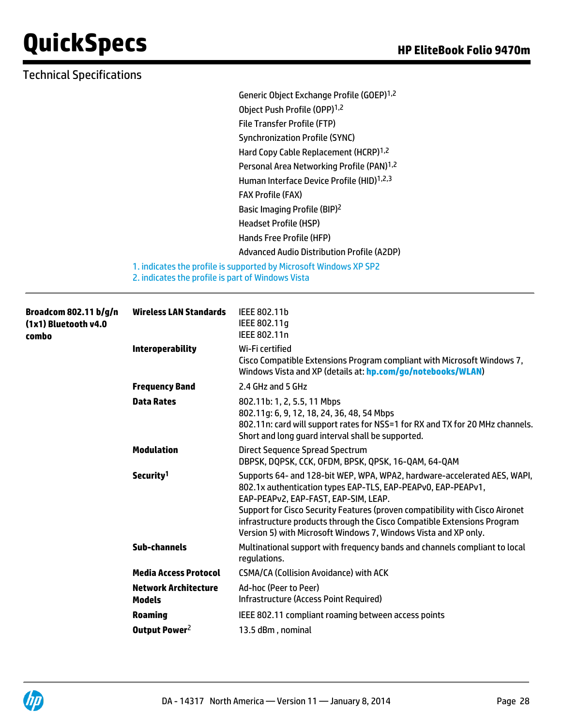### Technical Specifications

Generic Object Exchange Profile (GOEP)1,2 Object Push Profile (OPP)<sup>1,2</sup> File Transfer Profile (FTP) Synchronization Profile (SYNC) Hard Copy Cable Replacement (HCRP)1,2 Personal Area Networking Profile (PAN)<sup>1,2</sup> Human Interface Device Profile (HID)<sup>1,2,3</sup> FAX Profile (FAX) Basic Imaging Profile (BIP)<sup>2</sup> Headset Profile (HSP) Hands Free Profile (HFP) Advanced Audio Distribution Profile (A2DP)

1. indicates the profile is supported by Microsoft Windows XP SP2 2. indicates the profile is part of Windows Vista

| <b>Broadcom 802.11 b/g/n</b><br>(1x1) Bluetooth v4.0<br>combo | <b>Wireless LAN Standards</b>                | IEEE 802.11b<br>IEEE 802.11q<br>IEEE 802.11n                                                                                                                                                                                                                                                                                                                                                                   |
|---------------------------------------------------------------|----------------------------------------------|----------------------------------------------------------------------------------------------------------------------------------------------------------------------------------------------------------------------------------------------------------------------------------------------------------------------------------------------------------------------------------------------------------------|
|                                                               | <b>Interoperability</b>                      | Wi-Fi certified<br>Cisco Compatible Extensions Program compliant with Microsoft Windows 7,<br>Windows Vista and XP (details at: hp.com/go/notebooks/WLAN)                                                                                                                                                                                                                                                      |
|                                                               | <b>Frequency Band</b>                        | 2.4 GHz and 5 GHz                                                                                                                                                                                                                                                                                                                                                                                              |
|                                                               | <b>Data Rates</b>                            | 802.11b: 1, 2, 5.5, 11 Mbps<br>802.11g: 6, 9, 12, 18, 24, 36, 48, 54 Mbps<br>802.11n: card will support rates for NSS=1 for RX and TX for 20 MHz channels.<br>Short and long quard interval shall be supported.                                                                                                                                                                                                |
|                                                               | <b>Modulation</b>                            | Direct Sequence Spread Spectrum<br>DBPSK, DQPSK, CCK, OFDM, BPSK, QPSK, 16-QAM, 64-QAM                                                                                                                                                                                                                                                                                                                         |
|                                                               | Security <sup>1</sup>                        | Supports 64- and 128-bit WEP, WPA, WPA2, hardware-accelerated AES, WAPI,<br>802.1x authentication types EAP-TLS, EAP-PEAPv0, EAP-PEAPv1,<br>EAP-PEAPv2, EAP-FAST, EAP-SIM, LEAP.<br>Support for Cisco Security Features (proven compatibility with Cisco Aironet<br>infrastructure products through the Cisco Compatible Extensions Program<br>Version 5) with Microsoft Windows 7, Windows Vista and XP only. |
|                                                               | Sub-channels                                 | Multinational support with frequency bands and channels compliant to local<br>regulations.                                                                                                                                                                                                                                                                                                                     |
|                                                               | <b>Media Access Protocol</b>                 | <b>CSMA/CA (Collision Avoidance) with ACK</b>                                                                                                                                                                                                                                                                                                                                                                  |
|                                                               | <b>Network Architecture</b><br><b>Models</b> | Ad-hoc (Peer to Peer)<br><b>Infrastructure (Access Point Required)</b>                                                                                                                                                                                                                                                                                                                                         |
|                                                               | <b>Roaming</b>                               | IEEE 802.11 compliant roaming between access points                                                                                                                                                                                                                                                                                                                                                            |
|                                                               | Output Power <sup>2</sup>                    | 13.5 dBm, nominal                                                                                                                                                                                                                                                                                                                                                                                              |

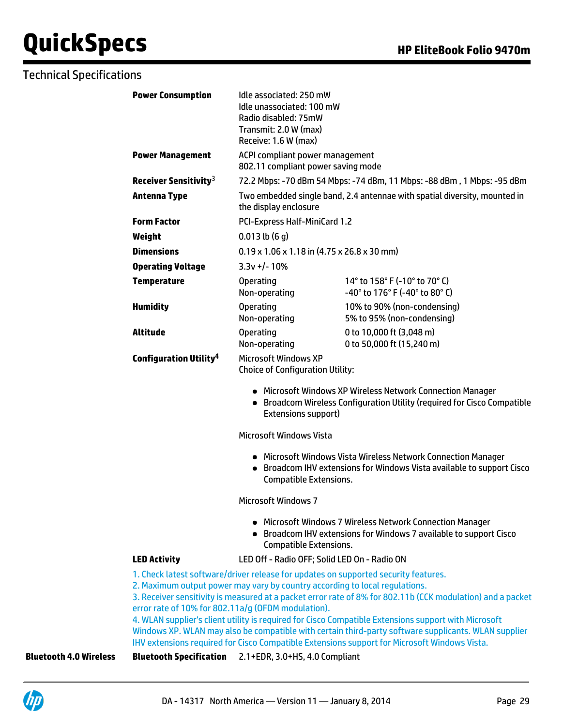|                               | <b>Power Consumption</b>                           | Idle associated: 250 mW<br>Idle unassociated: 100 mW<br>Radio disabled: 75mW<br>Transmit: 2.0 W (max)<br>Receive: 1.6 W (max) |                                                                                                                                                                                                                                                                                                                                                                                                                                                                                                                                                                                                  |
|-------------------------------|----------------------------------------------------|-------------------------------------------------------------------------------------------------------------------------------|--------------------------------------------------------------------------------------------------------------------------------------------------------------------------------------------------------------------------------------------------------------------------------------------------------------------------------------------------------------------------------------------------------------------------------------------------------------------------------------------------------------------------------------------------------------------------------------------------|
|                               | <b>Power Management</b>                            | ACPI compliant power management<br>802.11 compliant power saving mode                                                         |                                                                                                                                                                                                                                                                                                                                                                                                                                                                                                                                                                                                  |
|                               | Receiver Sensitivity $3$                           |                                                                                                                               | 72.2 Mbps: -70 dBm 54 Mbps: -74 dBm, 11 Mbps: -88 dBm, 1 Mbps: -95 dBm                                                                                                                                                                                                                                                                                                                                                                                                                                                                                                                           |
|                               | <b>Antenna Type</b>                                | Two embedded single band, 2.4 antennae with spatial diversity, mounted in<br>the display enclosure                            |                                                                                                                                                                                                                                                                                                                                                                                                                                                                                                                                                                                                  |
|                               | <b>Form Factor</b>                                 | PCI-Express Half-MiniCard 1.2                                                                                                 |                                                                                                                                                                                                                                                                                                                                                                                                                                                                                                                                                                                                  |
|                               | Weight                                             | $0.013$ lb $(6q)$                                                                                                             |                                                                                                                                                                                                                                                                                                                                                                                                                                                                                                                                                                                                  |
|                               | <b>Dimensions</b>                                  | $0.19 \times 1.06 \times 1.18$ in (4.75 x 26.8 x 30 mm)                                                                       |                                                                                                                                                                                                                                                                                                                                                                                                                                                                                                                                                                                                  |
|                               | <b>Operating Voltage</b>                           | $3.3v +/- 10%$                                                                                                                |                                                                                                                                                                                                                                                                                                                                                                                                                                                                                                                                                                                                  |
|                               | <b>Temperature</b>                                 | <b>Operating</b><br>Non-operating                                                                                             | 14° to 158° F (-10° to 70° C)<br>$-40^{\circ}$ to 176 $^{\circ}$ F (-40 $^{\circ}$ to 80 $^{\circ}$ C)                                                                                                                                                                                                                                                                                                                                                                                                                                                                                           |
|                               | <b>Humidity</b>                                    | <b>Operating</b><br>Non-operating                                                                                             | 10% to 90% (non-condensing)<br>5% to 95% (non-condensing)                                                                                                                                                                                                                                                                                                                                                                                                                                                                                                                                        |
|                               | <b>Altitude</b>                                    | <b>Operating</b><br>Non-operating                                                                                             | 0 to 10,000 ft (3,048 m)<br>0 to 50,000 ft (15,240 m)                                                                                                                                                                                                                                                                                                                                                                                                                                                                                                                                            |
|                               | <b>Configuration Utility<sup>4</sup></b>           | <b>Microsoft Windows XP</b><br><b>Choice of Configuration Utility:</b>                                                        |                                                                                                                                                                                                                                                                                                                                                                                                                                                                                                                                                                                                  |
|                               |                                                    | Extensions support)                                                                                                           | • Microsoft Windows XP Wireless Network Connection Manager<br>• Broadcom Wireless Configuration Utility (required for Cisco Compatible                                                                                                                                                                                                                                                                                                                                                                                                                                                           |
|                               |                                                    | <b>Microsoft Windows Vista</b>                                                                                                |                                                                                                                                                                                                                                                                                                                                                                                                                                                                                                                                                                                                  |
|                               |                                                    | <b>Compatible Extensions.</b>                                                                                                 | • Microsoft Windows Vista Wireless Network Connection Manager<br>• Broadcom IHV extensions for Windows Vista available to support Cisco                                                                                                                                                                                                                                                                                                                                                                                                                                                          |
|                               |                                                    | <b>Microsoft Windows 7</b>                                                                                                    |                                                                                                                                                                                                                                                                                                                                                                                                                                                                                                                                                                                                  |
|                               |                                                    | <b>Compatible Extensions.</b>                                                                                                 | • Microsoft Windows 7 Wireless Network Connection Manager<br>Broadcom IHV extensions for Windows 7 available to support Cisco                                                                                                                                                                                                                                                                                                                                                                                                                                                                    |
|                               | <b>LED Activity</b>                                |                                                                                                                               | LED Off - Radio OFF; Solid LED On - Radio ON                                                                                                                                                                                                                                                                                                                                                                                                                                                                                                                                                     |
|                               | error rate of 10% for 802.11a/g (OFDM modulation). |                                                                                                                               | 1. Check latest software/driver release for updates on supported security features.<br>2. Maximum output power may vary by country according to local regulations.<br>3. Receiver sensitivity is measured at a packet error rate of 8% for 802.11b (CCK modulation) and a packet<br>4. WLAN supplier's client utility is required for Cisco Compatible Extensions support with Microsoft<br>Windows XP. WLAN may also be compatible with certain third-party software supplicants. WLAN supplier<br>IHV extensions required for Cisco Compatible Extensions support for Microsoft Windows Vista. |
| <b>Bluetooth 4.0 Wireless</b> | <b>Bluetooth Specification</b>                     | 2.1+EDR, 3.0+HS, 4.0 Compliant                                                                                                |                                                                                                                                                                                                                                                                                                                                                                                                                                                                                                                                                                                                  |
|                               |                                                    |                                                                                                                               |                                                                                                                                                                                                                                                                                                                                                                                                                                                                                                                                                                                                  |

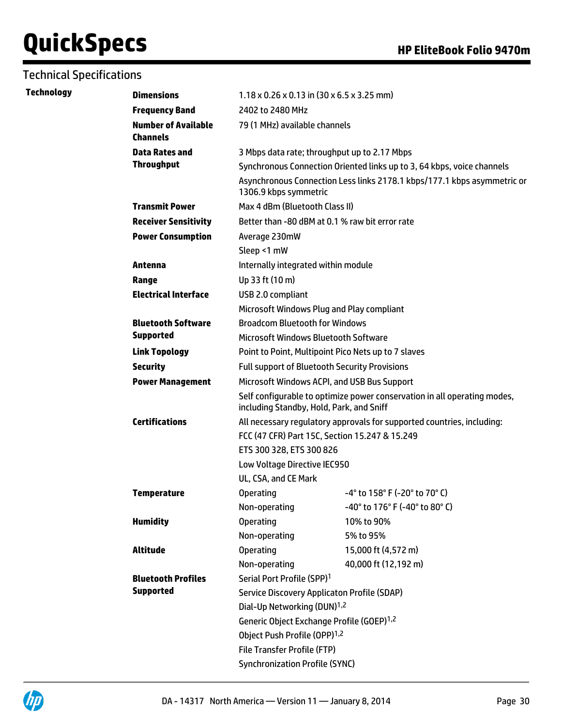| Technology | <b>Dimensions</b>                             | $1.18 \times 0.26 \times 0.13$ in (30 x 6.5 x 3.25 mm)                                                                                                              |                                                                         |  |
|------------|-----------------------------------------------|---------------------------------------------------------------------------------------------------------------------------------------------------------------------|-------------------------------------------------------------------------|--|
|            | <b>Frequency Band</b>                         | 2402 to 2480 MHz                                                                                                                                                    |                                                                         |  |
|            | <b>Number of Available</b><br><b>Channels</b> | 79 (1 MHz) available channels                                                                                                                                       |                                                                         |  |
|            | <b>Data Rates and</b>                         | 3 Mbps data rate; throughput up to 2.17 Mbps                                                                                                                        |                                                                         |  |
|            | <b>Throughput</b>                             |                                                                                                                                                                     | Synchronous Connection Oriented links up to 3, 64 kbps, voice channels  |  |
|            |                                               | 1306.9 kbps symmetric                                                                                                                                               | Asynchronous Connection Less links 2178.1 kbps/177.1 kbps asymmetric or |  |
|            | <b>Transmit Power</b>                         | Max 4 dBm (Bluetooth Class II)                                                                                                                                      |                                                                         |  |
|            | <b>Receiver Sensitivity</b>                   | Better than -80 dBM at 0.1 % raw bit error rate                                                                                                                     |                                                                         |  |
|            | <b>Power Consumption</b>                      | Average 230mW                                                                                                                                                       |                                                                         |  |
|            |                                               | Sleep <1 mW                                                                                                                                                         |                                                                         |  |
|            | Antenna                                       | Internally integrated within module                                                                                                                                 |                                                                         |  |
|            | Range                                         | Up 33 ft (10 m)                                                                                                                                                     |                                                                         |  |
|            | <b>Electrical Interface</b>                   | USB 2.0 compliant                                                                                                                                                   |                                                                         |  |
|            |                                               | Microsoft Windows Plug and Play compliant                                                                                                                           |                                                                         |  |
|            | <b>Bluetooth Software</b>                     | <b>Broadcom Bluetooth for Windows</b>                                                                                                                               |                                                                         |  |
|            | <b>Supported</b>                              | Microsoft Windows Bluetooth Software                                                                                                                                |                                                                         |  |
|            | <b>Link Topology</b>                          | Point to Point, Multipoint Pico Nets up to 7 slaves                                                                                                                 |                                                                         |  |
|            | <b>Security</b>                               | <b>Full support of Bluetooth Security Provisions</b>                                                                                                                |                                                                         |  |
|            | <b>Power Management</b>                       | Microsoft Windows ACPI, and USB Bus Support<br>Self configurable to optimize power conservation in all operating modes,<br>including Standby, Hold, Park, and Sniff |                                                                         |  |
|            |                                               |                                                                                                                                                                     |                                                                         |  |
|            | <b>Certifications</b>                         | All necessary regulatory approvals for supported countries, including:                                                                                              |                                                                         |  |
|            |                                               |                                                                                                                                                                     | FCC (47 CFR) Part 15C, Section 15.247 & 15.249                          |  |
|            |                                               | ETS 300 328, ETS 300 826                                                                                                                                            |                                                                         |  |
|            |                                               | Low Voltage Directive IEC950                                                                                                                                        |                                                                         |  |
|            |                                               | UL, CSA, and CE Mark                                                                                                                                                |                                                                         |  |
|            | <b>Temperature</b>                            | <b>Operating</b>                                                                                                                                                    | $-4^{\circ}$ to 158° F (-20° to 70° C)                                  |  |
|            |                                               | Non-operating                                                                                                                                                       | $-40^{\circ}$ to 176 $^{\circ}$ F (-40 $^{\circ}$ to 80 $^{\circ}$ C)   |  |
|            | <b>Humidity</b>                               | <b>Operating</b>                                                                                                                                                    | 10% to 90%                                                              |  |
|            |                                               | Non-operating                                                                                                                                                       | 5% to 95%                                                               |  |
|            | Altitude                                      | <b>Operating</b>                                                                                                                                                    | 15,000 ft (4,572 m)                                                     |  |
|            |                                               | Non-operating                                                                                                                                                       | 40,000 ft (12,192 m)                                                    |  |
|            | <b>Bluetooth Profiles</b>                     | Serial Port Profile (SPP) <sup>1</sup>                                                                                                                              |                                                                         |  |
|            | <b>Supported</b>                              | <b>Service Discovery Applicaton Profile (SDAP)</b>                                                                                                                  |                                                                         |  |
|            |                                               | Dial-Up Networking (DUN) <sup>1,2</sup>                                                                                                                             |                                                                         |  |
|            |                                               | Generic Object Exchange Profile (GOEP) <sup>1,2</sup>                                                                                                               |                                                                         |  |
|            |                                               | Object Push Profile (OPP) <sup>1,2</sup><br><b>File Transfer Profile (FTP)</b><br><b>Synchronization Profile (SYNC)</b>                                             |                                                                         |  |
|            |                                               |                                                                                                                                                                     |                                                                         |  |
|            |                                               |                                                                                                                                                                     |                                                                         |  |

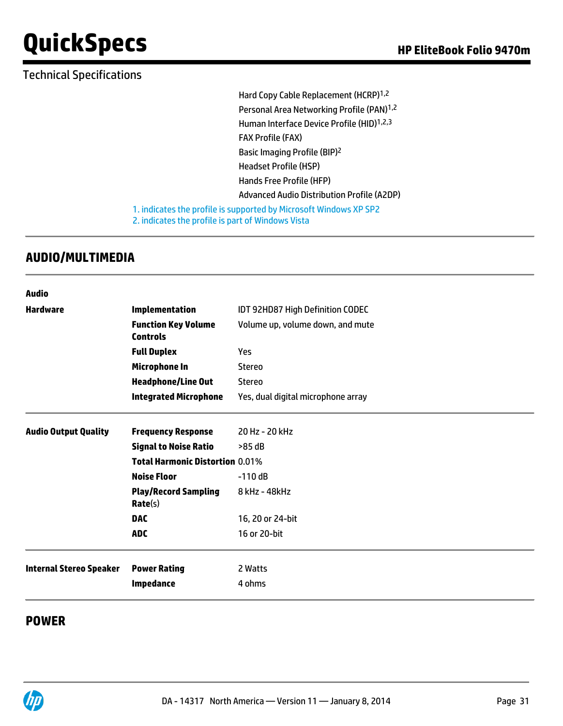# Technical Specifications

Hard Copy Cable Replacement (HCRP)1,2 Personal Area Networking Profile (PAN)<sup>1,2</sup> Human Interface Device Profile (HID)<sup>1,2,3</sup> FAX Profile (FAX) Basic Imaging Profile (BIP)<sup>2</sup> Headset Profile (HSP) Hands Free Profile (HFP) Advanced Audio Distribution Profile (A2DP) 1. indicates the profile is supported by Microsoft Windows XP SP2

2. indicates the profile is part of Windows Vista

## **AUDIO/MULTIMEDIA**

| Audio                          |                                               |                                                                      |  |  |
|--------------------------------|-----------------------------------------------|----------------------------------------------------------------------|--|--|
| <b>Hardware</b>                | Implementation                                | IDT 92HD87 High Definition CODEC<br>Volume up, volume down, and mute |  |  |
|                                | <b>Function Key Volume</b><br><b>Controls</b> |                                                                      |  |  |
|                                | <b>Full Duplex</b>                            | Yes                                                                  |  |  |
|                                | <b>Microphone In</b>                          | <b>Stereo</b>                                                        |  |  |
|                                | <b>Headphone/Line Out</b>                     | Stereo                                                               |  |  |
|                                | <b>Integrated Microphone</b>                  | Yes, dual digital microphone array                                   |  |  |
| <b>Audio Output Quality</b>    | <b>Frequency Response</b>                     | 20 Hz - 20 kHz                                                       |  |  |
|                                | <b>Signal to Noise Ratio</b>                  | >85 dB                                                               |  |  |
|                                | <b>Total Harmonic Distortion 0.01%</b>        |                                                                      |  |  |
|                                | <b>Noise Floor</b>                            | $-110dB$                                                             |  |  |
|                                | <b>Play/Record Sampling</b><br>Rate(s)        | 8 kHz - 48 kHz                                                       |  |  |
|                                | <b>DAC</b>                                    | 16, 20 or 24-bit                                                     |  |  |
|                                | <b>ADC</b>                                    | 16 or 20-bit                                                         |  |  |
| <b>Internal Stereo Speaker</b> | <b>Power Rating</b>                           | 2 Watts                                                              |  |  |
|                                | <b>Impedance</b>                              | 4 ohms                                                               |  |  |
|                                |                                               |                                                                      |  |  |

## **POWER**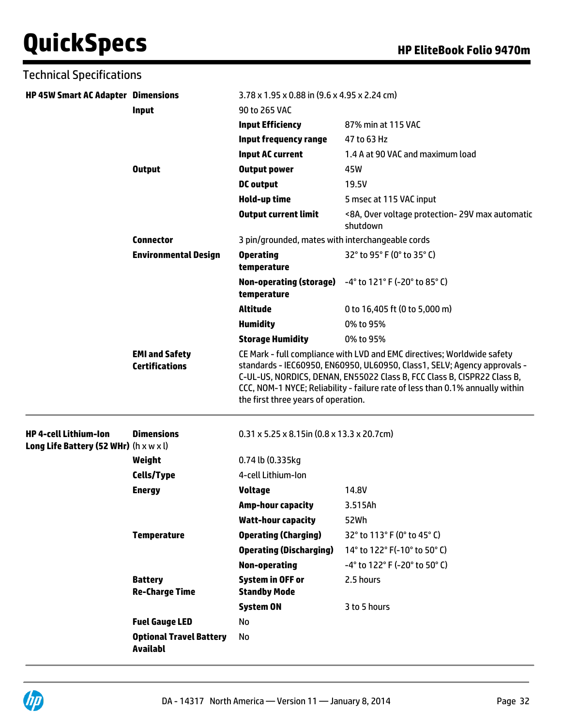| <b>Technical Specifications</b>                                                    |                                                   |                                                                                                                                                                                                                                                                                                                                                        |                                                             |  |
|------------------------------------------------------------------------------------|---------------------------------------------------|--------------------------------------------------------------------------------------------------------------------------------------------------------------------------------------------------------------------------------------------------------------------------------------------------------------------------------------------------------|-------------------------------------------------------------|--|
| <b>HP 45W Smart AC Adapter Dimensions</b>                                          |                                                   | $3.78 \times 1.95 \times 0.88$ in (9.6 x 4.95 x 2.24 cm)                                                                                                                                                                                                                                                                                               |                                                             |  |
|                                                                                    | Input                                             | 90 to 265 VAC<br><b>Input Efficiency</b>                                                                                                                                                                                                                                                                                                               | 87% min at 115 VAC                                          |  |
|                                                                                    |                                                   | Input frequency range                                                                                                                                                                                                                                                                                                                                  | 47 to 63 Hz                                                 |  |
|                                                                                    |                                                   | <b>Input AC current</b>                                                                                                                                                                                                                                                                                                                                | 1.4 A at 90 VAC and maximum load                            |  |
|                                                                                    | <b>Output</b>                                     | <b>Output power</b>                                                                                                                                                                                                                                                                                                                                    | 45W                                                         |  |
|                                                                                    |                                                   | <b>DC</b> output                                                                                                                                                                                                                                                                                                                                       | 19.5V                                                       |  |
|                                                                                    |                                                   | Hold-up time                                                                                                                                                                                                                                                                                                                                           | 5 msec at 115 VAC input                                     |  |
|                                                                                    |                                                   | <b>Output current limit</b>                                                                                                                                                                                                                                                                                                                            | <8A, Over voltage protection- 29V max automatic<br>shutdown |  |
|                                                                                    | <b>Connector</b>                                  | 3 pin/grounded, mates with interchangeable cords                                                                                                                                                                                                                                                                                                       |                                                             |  |
|                                                                                    | <b>Environmental Design</b>                       | <b>Operating</b><br>temperature                                                                                                                                                                                                                                                                                                                        | 32° to 95° F (0° to 35° C)                                  |  |
|                                                                                    |                                                   | <b>Non-operating (storage)</b><br>temperature                                                                                                                                                                                                                                                                                                          | $-4^{\circ}$ to 121° F (-20° to 85° C)                      |  |
|                                                                                    |                                                   | <b>Altitude</b>                                                                                                                                                                                                                                                                                                                                        | 0 to 16,405 ft (0 to 5,000 m)                               |  |
|                                                                                    |                                                   | <b>Humidity</b>                                                                                                                                                                                                                                                                                                                                        | 0% to 95%                                                   |  |
|                                                                                    |                                                   | <b>Storage Humidity</b>                                                                                                                                                                                                                                                                                                                                | 0% to 95%                                                   |  |
|                                                                                    | <b>EMI and Safety</b><br><b>Certifications</b>    | CE Mark - full compliance with LVD and EMC directives; Worldwide safety<br>standards - IEC60950, EN60950, UL60950, Class1, SELV; Agency approvals -<br>C-UL-US, NORDICS, DENAN, EN55022 Class B, FCC Class B, CISPR22 Class B,<br>CCC, NOM-1 NYCE; Reliability - failure rate of less than 0.1% annually within<br>the first three years of operation. |                                                             |  |
| <b>HP 4-cell Lithium-lon</b><br>Long Life Battery (52 WHr) $(h \times w \times l)$ | <b>Dimensions</b>                                 | $0.31 \times 5.25 \times 8.15$ in (0.8 x 13.3 x 20.7cm)                                                                                                                                                                                                                                                                                                |                                                             |  |
|                                                                                    | Weight                                            | 0.74 lb (0.335kg                                                                                                                                                                                                                                                                                                                                       |                                                             |  |
|                                                                                    | Cells/Type                                        | 4-cell Lithium-Ion                                                                                                                                                                                                                                                                                                                                     |                                                             |  |
|                                                                                    | <b>Energy</b>                                     | <b>Voltage</b>                                                                                                                                                                                                                                                                                                                                         | 14.8V                                                       |  |
|                                                                                    |                                                   | <b>Amp-hour capacity</b>                                                                                                                                                                                                                                                                                                                               | 3.515Ah                                                     |  |
|                                                                                    |                                                   | <b>Watt-hour capacity</b>                                                                                                                                                                                                                                                                                                                              | 52Wh                                                        |  |
|                                                                                    | <b>Temperature</b>                                | <b>Operating (Charging)</b>                                                                                                                                                                                                                                                                                                                            | 32° to 113° F (0° to 45° C)                                 |  |
|                                                                                    |                                                   | <b>Operating (Discharging)</b>                                                                                                                                                                                                                                                                                                                         | 14° to 122° F(-10° to 50° C)                                |  |
|                                                                                    |                                                   | <b>Non-operating</b>                                                                                                                                                                                                                                                                                                                                   | -4° to 122° F (-20° to 50° C)                               |  |
|                                                                                    | <b>Battery</b><br><b>Re-Charge Time</b>           | <b>System in OFF or</b><br><b>Standby Mode</b>                                                                                                                                                                                                                                                                                                         | 2.5 hours                                                   |  |
|                                                                                    |                                                   | <b>System ON</b>                                                                                                                                                                                                                                                                                                                                       | 3 to 5 hours                                                |  |
|                                                                                    | <b>Fuel Gauge LED</b>                             | No                                                                                                                                                                                                                                                                                                                                                     |                                                             |  |
|                                                                                    | <b>Optional Travel Battery</b><br><b>Availabl</b> | No                                                                                                                                                                                                                                                                                                                                                     |                                                             |  |

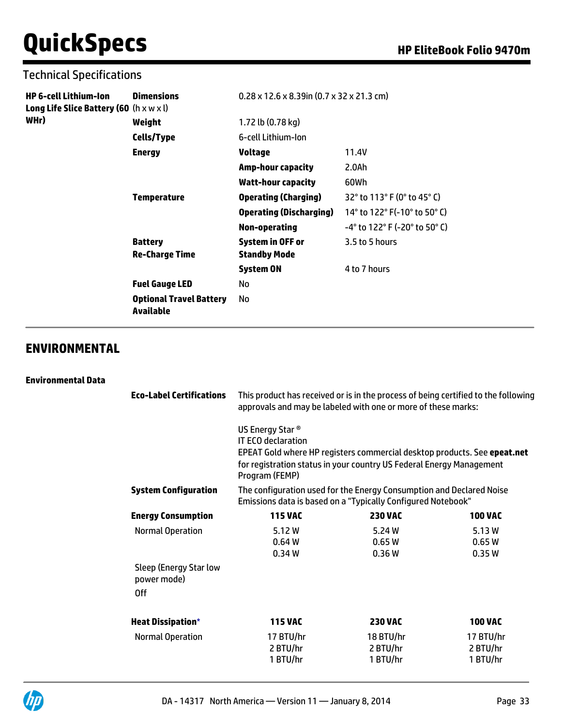### Technical Specifications

| HP 6-cell Lithium-Ion<br><b>Long Life Slice Battery (60</b> (h x w x l) | <b>Dimensions</b>                           | $0.28 \times 12.6 \times 8.39$ in $(0.7 \times 32 \times 21.3$ cm) |                               |
|-------------------------------------------------------------------------|---------------------------------------------|--------------------------------------------------------------------|-------------------------------|
| WHr)                                                                    | Weight                                      | 1.72 lb (0.78 kg)                                                  |                               |
|                                                                         | Cells/Type                                  | 6-cell Lithium-Ion                                                 |                               |
|                                                                         | <b>Energy</b>                               | Voltage                                                            | 11.4V                         |
|                                                                         |                                             | <b>Amp-hour capacity</b>                                           | 2.0Ah                         |
|                                                                         |                                             | <b>Watt-hour capacity</b>                                          | 60Wh                          |
|                                                                         | Temperature                                 | <b>Operating (Charging)</b>                                        | 32° to 113° F (0° to 45° C)   |
|                                                                         |                                             | <b>Operating (Discharging)</b>                                     | 14° to 122° F(-10° to 50° C)  |
|                                                                         |                                             | Non-operating                                                      | -4° to 122° F (-20° to 50° C) |
|                                                                         | <b>Battery</b><br><b>Re-Charge Time</b>     | System in OFF or<br><b>Standby Mode</b>                            | 3.5 to 5 hours                |
|                                                                         |                                             | <b>System ON</b>                                                   | 4 to 7 hours                  |
|                                                                         | <b>Fuel Gauge LED</b>                       | No                                                                 |                               |
|                                                                         | <b>Optional Travel Battery</b><br>Available | No                                                                 |                               |

# **ENVIRONMENTAL**

#### **Environmental Data**

| <b>Eco-Label Certifications</b>                     | This product has received or is in the process of being certified to the following<br>approvals and may be labeled with one or more of these marks: |                                                                                                                                                  |                                                     |  |
|-----------------------------------------------------|-----------------------------------------------------------------------------------------------------------------------------------------------------|--------------------------------------------------------------------------------------------------------------------------------------------------|-----------------------------------------------------|--|
|                                                     | US Energy Star <sup>®</sup><br><b>IT ECO declaration</b><br>Program (FEMP)                                                                          | EPEAT Gold where HP registers commercial desktop products. See epeat.net<br>for registration status in your country US Federal Energy Management |                                                     |  |
| <b>System Configuration</b>                         | The configuration used for the Energy Consumption and Declared Noise<br>Emissions data is based on a "Typically Configured Notebook"                |                                                                                                                                                  |                                                     |  |
| <b>Energy Consumption</b>                           | <b>115 VAC</b>                                                                                                                                      | <b>230 VAC</b>                                                                                                                                   | <b>100 VAC</b>                                      |  |
| <b>Normal Operation</b>                             | 5.12 W<br>0.64W<br>0.34W                                                                                                                            | 5.24 W<br>0.65W<br>0.36W                                                                                                                         | 5.13 W<br>0.65W<br>0.35W                            |  |
| Sleep (Energy Star low<br>power mode)<br>0ff        |                                                                                                                                                     |                                                                                                                                                  |                                                     |  |
| <b>Heat Dissipation*</b><br><b>Normal Operation</b> | <b>115 VAC</b><br>17 BTU/hr<br>2 BTU/hr<br>1 BTU/hr                                                                                                 | <b>230 VAC</b><br>18 BTU/hr<br>2 BTU/hr<br>1 BTU/hr                                                                                              | <b>100 VAC</b><br>17 BTU/hr<br>2 BTU/hr<br>1 BTU/hr |  |
|                                                     |                                                                                                                                                     |                                                                                                                                                  |                                                     |  |

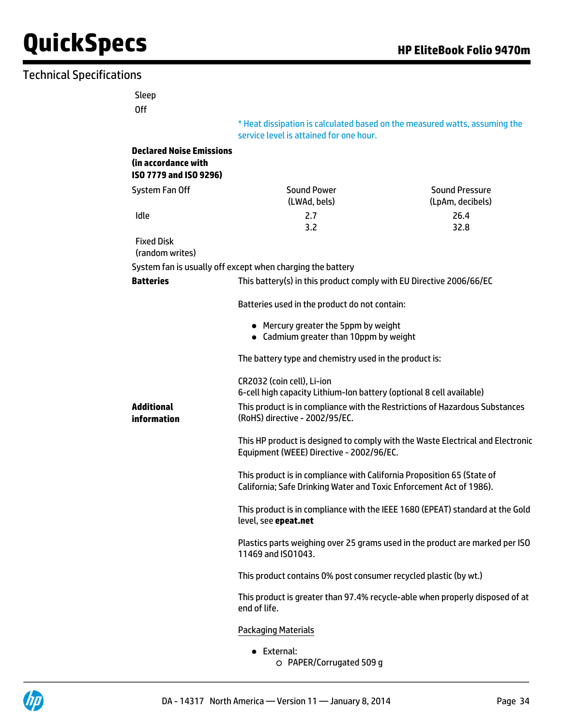### Technical Specifications

Off

\* Heat dissipation is calculated based on the measured watts, assuming the service level is attained for one hour.

#### **Declared Noise Emissions (in accordance with ISO 7779 and ISO 9296)**

| System Fan Off | <b>Sound Power</b><br>(LWAd, bels) | Sound Pressure<br>(LpAm, decibels) |
|----------------|------------------------------------|------------------------------------|
| Idle           | 2.7                                | 26.4                               |
|                | 3.2                                | 32.8                               |
|                |                                    |                                    |

 Fixed Disk (random writes)

**Additional information**

System fan is usually off except when charging the battery

| Batteries | This battery(s) in this product comply with EU Directive 2006/66/EC |  |
|-----------|---------------------------------------------------------------------|--|
|           |                                                                     |  |

Batteries used in the product do not contain:

- Mercury greater the 5ppm by weight
- Cadmium greater than 10ppm by weight

The battery type and chemistry used in the product is:

CR2032 (coin cell), Li-ion 6-cell high capacity Lithium-Ion battery (optional 8 cell available) This product is in compliance with the Restrictions of Hazardous Substances (RoHS) directive - 2002/95/EC. This HP product is designed to comply with the Waste Electrical and Electronic Equipment (WEEE) Directive - 2002/96/EC. This product is in compliance with California Proposition 65 (State of California; Safe Drinking Water and Toxic Enforcement Act of 1986).

> This product is in compliance with the IEEE 1680 (EPEAT) standard at the Gold level, see **[epeat.net](http://www.epeat.net)**

> Plastics parts weighing over 25 grams used in the product are marked per ISO 11469 and ISO1043.

This product contains 0% post consumer recycled plastic (by wt.)

This product is greater than 97.4% recycle-able when properly disposed of at end of life.

#### Packaging Materials

External: PAPER/Corrugated 509 g

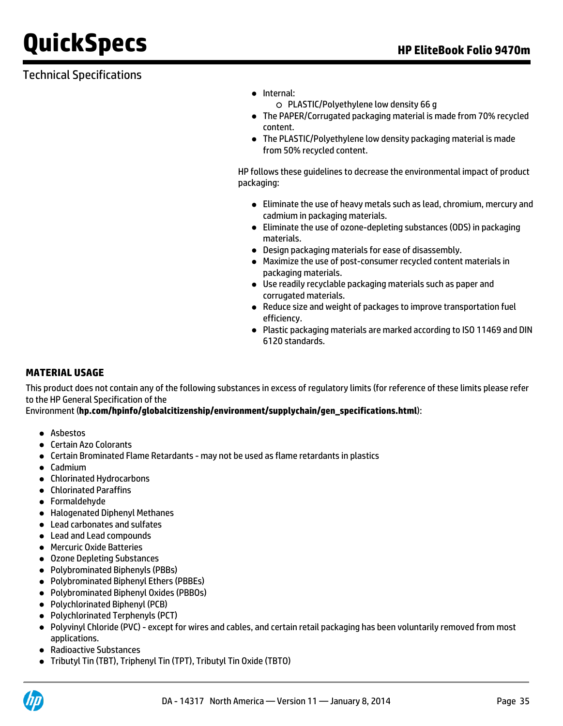# Technical Specifications

- Internal:
	- PLASTIC/Polyethylene low density 66 g
- The PAPER/Corrugated packaging material is made from 70% recycled content.
- The PLASTIC/Polyethylene low density packaging material is made from 50% recycled content.

HP follows these guidelines to decrease the environmental impact of product packaging:

- Eliminate the use of heavy metals such as lead, chromium, mercury and cadmium in packaging materials.
- Eliminate the use of ozone-depleting substances (ODS) in packaging materials.
- Design packaging materials for ease of disassembly.
- Maximize the use of post-consumer recycled content materials in packaging materials.
- Use readily recyclable packaging materials such as paper and corrugated materials.
- Reduce size and weight of packages to improve transportation fuel efficiency.
- Plastic packaging materials are marked according to ISO 11469 and DIN 6120 standards.

#### **MATERIAL USAGE**

This product does not contain any of the following substances in excess of regulatory limits (for reference of these limits please refer to the HP General Specification of the

Environment (**[hp.com/hpinfo/globalcitizenship/environment/supplychain/gen\\_specifications.html](http://www.hp.com/hpinfo/globalcitizenship/environment/supplychain/gen_specifications.html)**):

- Asbestos
- Certain Azo Colorants
- Certain Brominated Flame Retardants may not be used as flame retardants in plastics
- Cadmium
- Chlorinated Hydrocarbons
- Chlorinated Paraffins
- **•** Formaldehyde
- Halogenated Diphenyl Methanes
- Lead carbonates and sulfates
- Lead and Lead compounds
- **Mercuric Oxide Batteries**
- Ozone Depleting Substances
- Polybrominated Biphenyls (PBBs)
- Polybrominated Biphenyl Ethers (PBBEs)
- Polybrominated Biphenyl Oxides (PBBOs)
- Polychlorinated Biphenyl (PCB)
- Polychlorinated Terphenyls (PCT)
- Polyvinyl Chloride (PVC) except for wires and cables, and certain retail packaging has been voluntarily removed from most applications.
- Radioactive Substances
- Tributyl Tin (TBT), Triphenyl Tin (TPT), Tributyl Tin Oxide (TBTO)

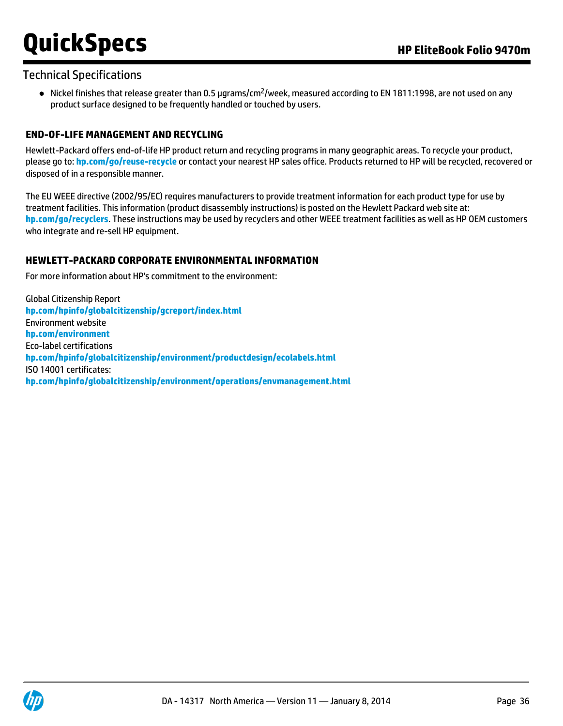### Technical Specifications

 $\bullet$  Nickel finishes that release greater than 0.5 µgrams/cm<sup>2</sup>/week, measured according to EN 1811:1998, are not used on any product surface designed to be frequently handled or touched by users.

#### **END-OF-LIFE MANAGEMENT AND RECYCLING**

Hewlett-Packard offers end-of-life HP product return and recycling programs in many geographic areas. To recycle your product, please go to: **[hp.com/go/reuse-recycle](http://www.hp.com/go/reuse-recycle)** or contact your nearest HP sales office. Products returned to HP will be recycled, recovered or disposed of in a responsible manner.

The EU WEEE directive (2002/95/EC) requires manufacturers to provide treatment information for each product type for use by treatment facilities. This information (product disassembly instructions) is posted on the Hewlett Packard web site at: **[hp.com/go/recyclers](http://www.hp.com/go/recyclers)**. These instructions may be used by recyclers and other WEEE treatment facilities as well as HP OEM customers who integrate and re-sell HP equipment.

#### **HEWLETT-PACKARD CORPORATE ENVIRONMENTAL INFORMATION**

For more information about HP's commitment to the environment:

Global Citizenship Report **[hp.com/hpinfo/globalcitizenship/gcreport/index.html](http://www.hp.com/hpinfo/globalcitizenship/gcreport/index.html)** Environment website **[hp.com/environment](http://www.hp.com/environment)** Eco-label certifications **[hp.com/hpinfo/globalcitizenship/environment/productdesign/ecolabels.html](http://www.hp.com/hpinfo/globalcitizenship/environment/productdesign/ecolabels.html)** ISO 14001 certificates: **[hp.com/hpinfo/globalcitizenship/environment/operations/envmanagement.html](http://www.hp.com/hpinfo/globalcitizenship/environment/operations/envmanagement.html)**

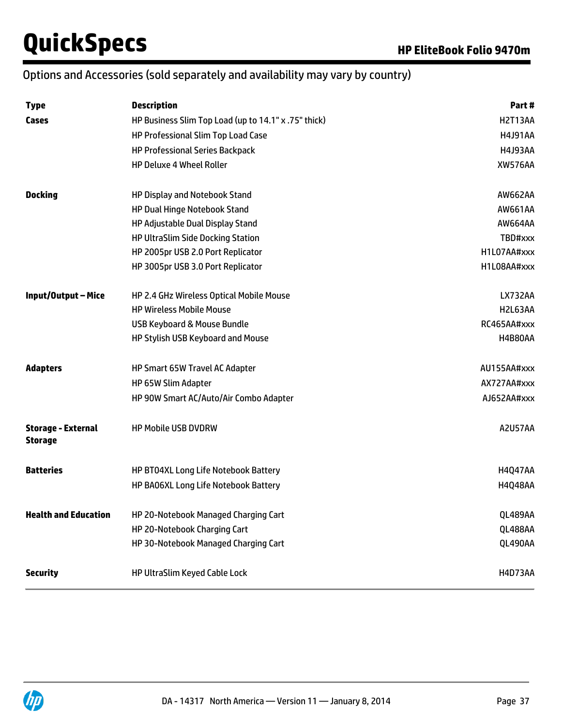# Options and Accessories (sold separately and availability may vary by country)

| <b>Type</b>                                 | <b>Description</b>                                   | Part #         |
|---------------------------------------------|------------------------------------------------------|----------------|
| Cases                                       | HP Business Slim Top Load (up to 14.1" x .75" thick) | <b>H2T13AA</b> |
|                                             | HP Professional Slim Top Load Case                   | <b>H4J91AA</b> |
|                                             | <b>HP Professional Series Backpack</b>               | <b>H4J93AA</b> |
|                                             | <b>HP Deluxe 4 Wheel Roller</b>                      | <b>XW576AA</b> |
| <b>Docking</b>                              | HP Display and Notebook Stand                        | AW662AA        |
|                                             | HP Dual Hinge Notebook Stand                         | AW661AA        |
|                                             | HP Adjustable Dual Display Stand                     | AW664AA        |
|                                             | HP UltraSlim Side Docking Station                    | TBD#xxx        |
|                                             | HP 2005pr USB 2.0 Port Replicator                    | H1L07AA#xxx    |
|                                             | HP 3005pr USB 3.0 Port Replicator                    | H1L08AA#xxx    |
| Input/Output-Mice                           | HP 2.4 GHz Wireless Optical Mobile Mouse             | <b>LX732AA</b> |
|                                             | <b>HP Wireless Mobile Mouse</b>                      | H2L63AA        |
|                                             | USB Keyboard & Mouse Bundle                          | RC465AA#xxx    |
|                                             | HP Stylish USB Keyboard and Mouse                    | <b>H4B80AA</b> |
| <b>Adapters</b>                             | HP Smart 65W Travel AC Adapter                       | AU155AA#xxx    |
|                                             | HP 65W Slim Adapter                                  | AX727AA#xxx    |
|                                             | HP 90W Smart AC/Auto/Air Combo Adapter               | AJ652AA#xxx    |
| <b>Storage - External</b><br><b>Storage</b> | <b>HP Mobile USB DVDRW</b>                           | <b>A2U57AA</b> |
| <b>Batteries</b>                            | HP BT04XL Long Life Notebook Battery                 | <b>H4Q47AA</b> |
|                                             | HP BA06XL Long Life Notebook Battery                 | <b>H4Q48AA</b> |
| <b>Health and Education</b>                 | HP 20-Notebook Managed Charging Cart                 | QL489AA        |
|                                             | HP 20-Notebook Charging Cart                         | QL488AA        |
|                                             | HP 30-Notebook Managed Charging Cart                 | QL490AA        |
| <b>Security</b>                             | HP UltraSlim Keyed Cable Lock                        | <b>H4D73AA</b> |